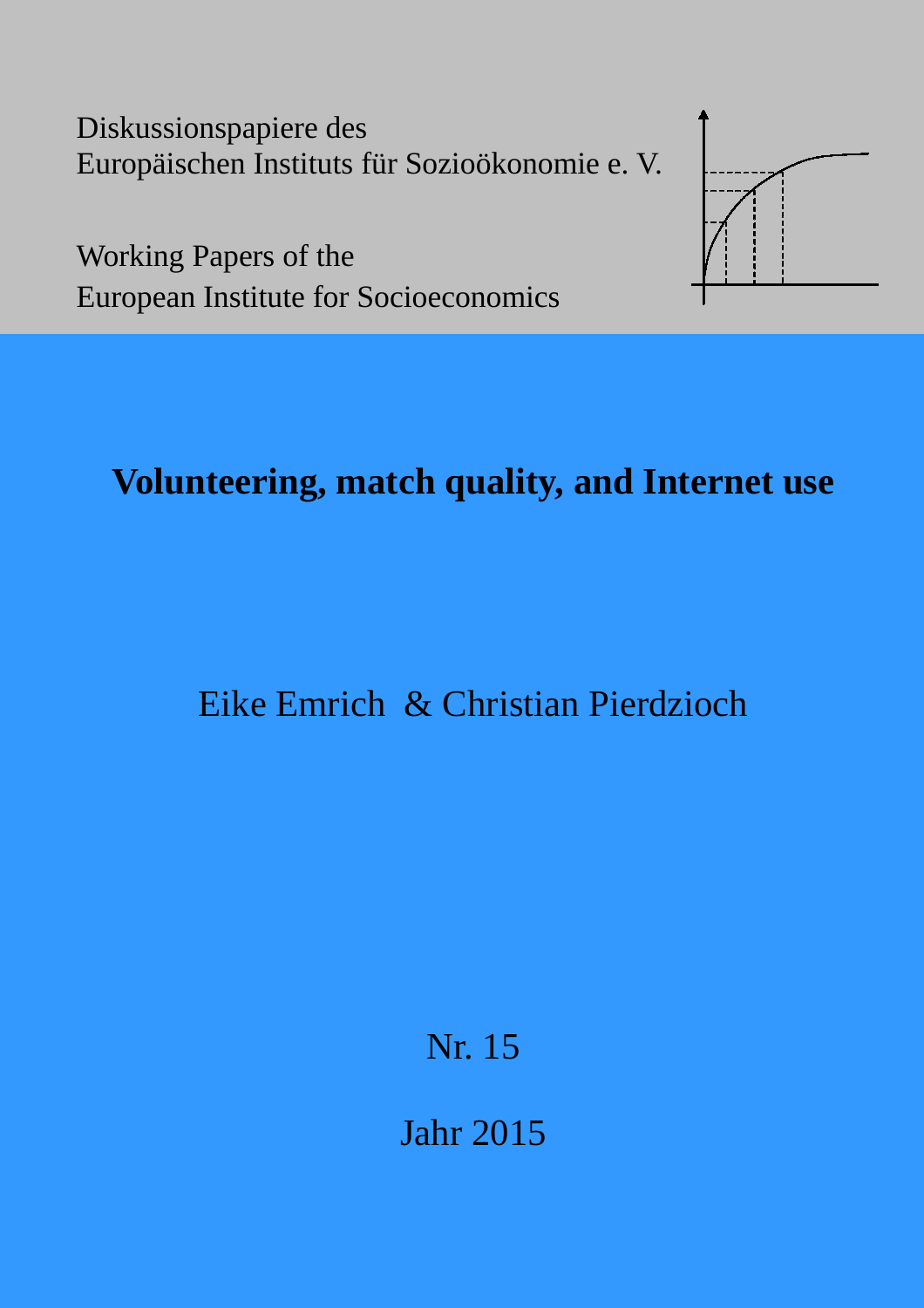Diskussionspapiere des Europäischen Instituts für Sozioökonomie e. V.



Working Papers of the European Institute for Socioeconomics

# **Volunteering, match quality, and Internet use**

# Eike Emrich & Christian Pierdzioch

Nr. 15

Jahr 2015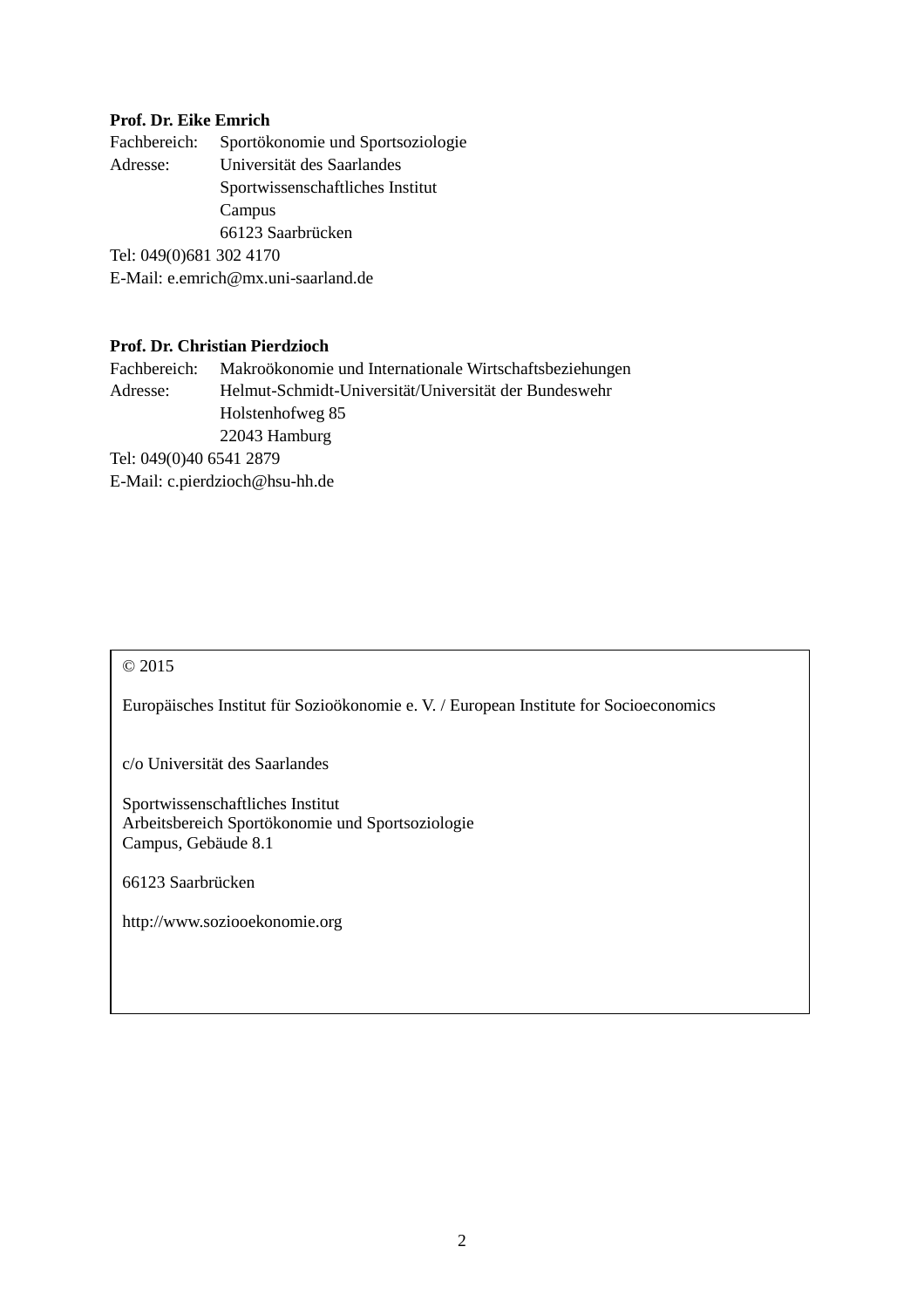## **Prof. Dr. Eike Emrich**

| Fachbereich:            | Sportökonomie und Sportsoziologie   |
|-------------------------|-------------------------------------|
| Adresse:                | Universität des Saarlandes          |
|                         | Sportwissenschaftliches Institut    |
|                         | Campus                              |
|                         | 66123 Saarbrücken                   |
| Tel: 049(0)681 302 4170 |                                     |
|                         | E-Mail: e.emrich@mx.uni-saarland.de |
|                         |                                     |

## **Prof. Dr. Christian Pierdzioch**

Fachbereich: Makroökonomie und Internationale Wirtschaftsbeziehungen Adresse: Helmut-Schmidt-Universität/Universität der Bundeswehr Holstenhofweg 85 22043 Hamburg Tel: 049(0)40 6541 2879 E-Mail: c.pierdzioch@hsu-hh.de

## © 2015

Europäisches Institut für Sozioökonomie e. V. / European Institute for Socioeconomics

c/o Universität des Saarlandes

Sportwissenschaftliches Institut Arbeitsbereich Sportökonomie und Sportsoziologie Campus, Gebäude 8.1

66123 Saarbrücken

http://www.soziooekonomie.org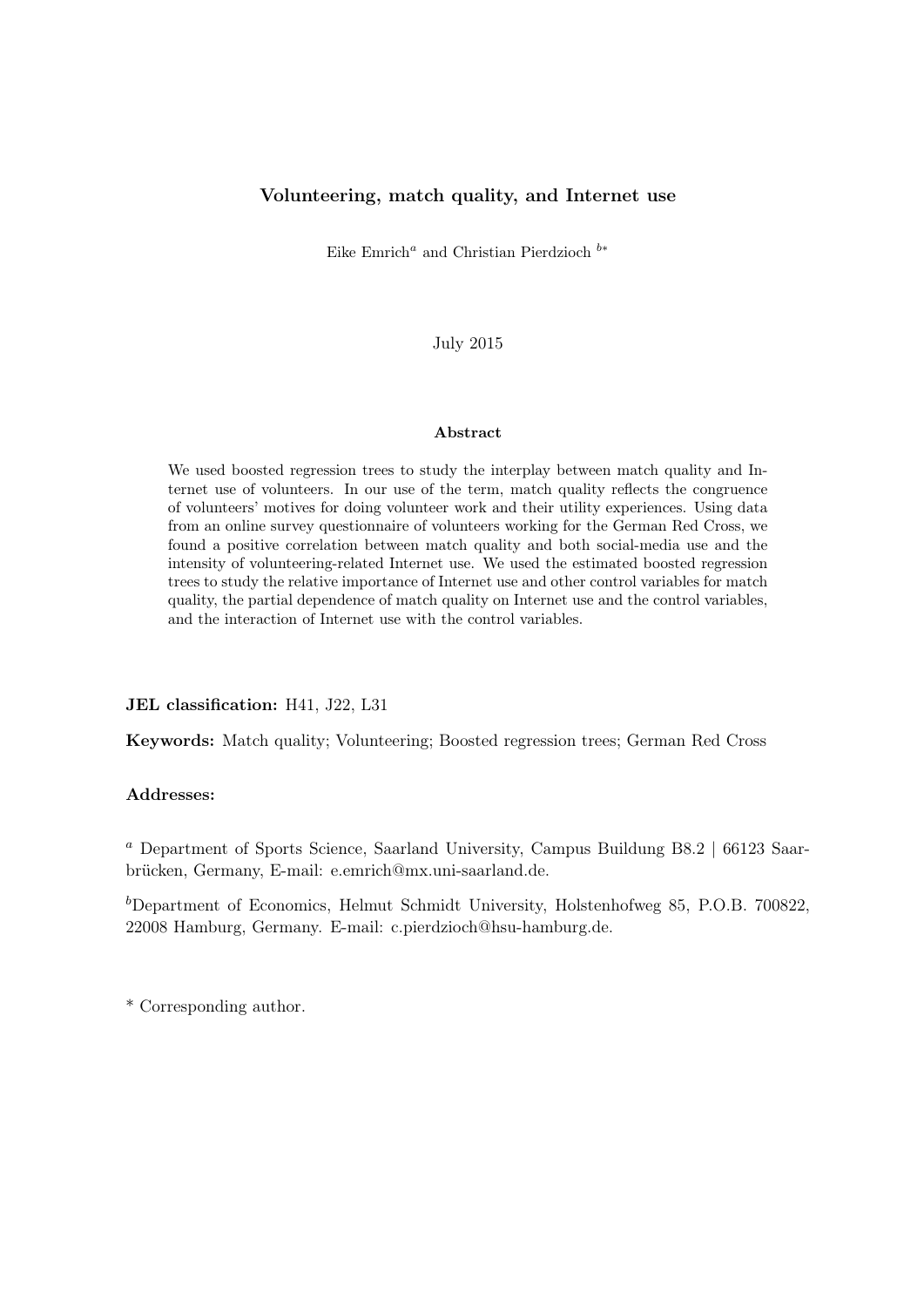#### Volunteering, match quality, and Internet use

Eike Emrich<sup>*a*</sup> and Christian Pierdzioch  $b*$ 

July 2015

#### Abstract

We used boosted regression trees to study the interplay between match quality and Internet use of volunteers. In our use of the term, match quality reflects the congruence of volunteers' motives for doing volunteer work and their utility experiences. Using data from an online survey questionnaire of volunteers working for the German Red Cross, we found a positive correlation between match quality and both social-media use and the intensity of volunteering-related Internet use. We used the estimated boosted regression trees to study the relative importance of Internet use and other control variables for match quality, the partial dependence of match quality on Internet use and the control variables, and the interaction of Internet use with the control variables.

#### JEL classification: H41, J22, L31

Keywords: Match quality; Volunteering; Boosted regression trees; German Red Cross

#### Addresses:

<sup>a</sup> Department of Sports Science, Saarland University, Campus Buildung B8.2 | 66123 Saarbrücken, Germany, E-mail: e.emrich@mx.uni-saarland.de.

 $b$ Department of Economics, Helmut Schmidt University, Holstenhofweg 85, P.O.B. 700822, 22008 Hamburg, Germany. E-mail: c.pierdzioch@hsu-hamburg.de.

\* Corresponding author.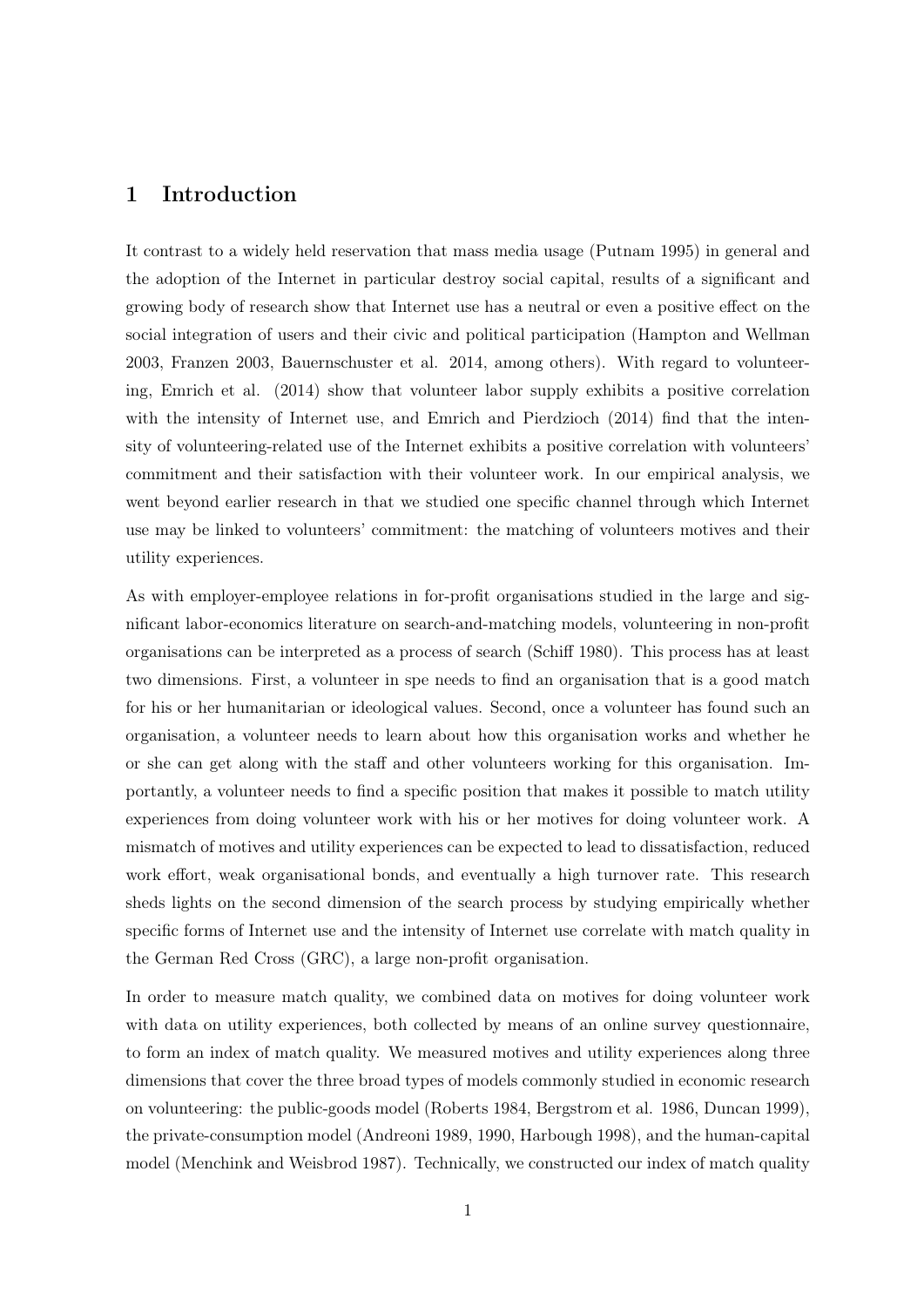## 1 Introduction

It contrast to a widely held reservation that mass media usage (Putnam 1995) in general and the adoption of the Internet in particular destroy social capital, results of a significant and growing body of research show that Internet use has a neutral or even a positive effect on the social integration of users and their civic and political participation (Hampton and Wellman 2003, Franzen 2003, Bauernschuster et al. 2014, among others). With regard to volunteering, Emrich et al. (2014) show that volunteer labor supply exhibits a positive correlation with the intensity of Internet use, and Emrich and Pierdzioch (2014) find that the intensity of volunteering-related use of the Internet exhibits a positive correlation with volunteers' commitment and their satisfaction with their volunteer work. In our empirical analysis, we went beyond earlier research in that we studied one specific channel through which Internet use may be linked to volunteers' commitment: the matching of volunteers motives and their utility experiences.

As with employer-employee relations in for-profit organisations studied in the large and significant labor-economics literature on search-and-matching models, volunteering in non-profit organisations can be interpreted as a process of search (Schiff 1980). This process has at least two dimensions. First, a volunteer in spe needs to find an organisation that is a good match for his or her humanitarian or ideological values. Second, once a volunteer has found such an organisation, a volunteer needs to learn about how this organisation works and whether he or she can get along with the staff and other volunteers working for this organisation. Importantly, a volunteer needs to find a specific position that makes it possible to match utility experiences from doing volunteer work with his or her motives for doing volunteer work. A mismatch of motives and utility experiences can be expected to lead to dissatisfaction, reduced work effort, weak organisational bonds, and eventually a high turnover rate. This research sheds lights on the second dimension of the search process by studying empirically whether specific forms of Internet use and the intensity of Internet use correlate with match quality in the German Red Cross (GRC), a large non-profit organisation.

In order to measure match quality, we combined data on motives for doing volunteer work with data on utility experiences, both collected by means of an online survey questionnaire, to form an index of match quality. We measured motives and utility experiences along three dimensions that cover the three broad types of models commonly studied in economic research on volunteering: the public-goods model (Roberts 1984, Bergstrom et al. 1986, Duncan 1999), the private-consumption model (Andreoni 1989, 1990, Harbough 1998), and the human-capital model (Menchink and Weisbrod 1987). Technically, we constructed our index of match quality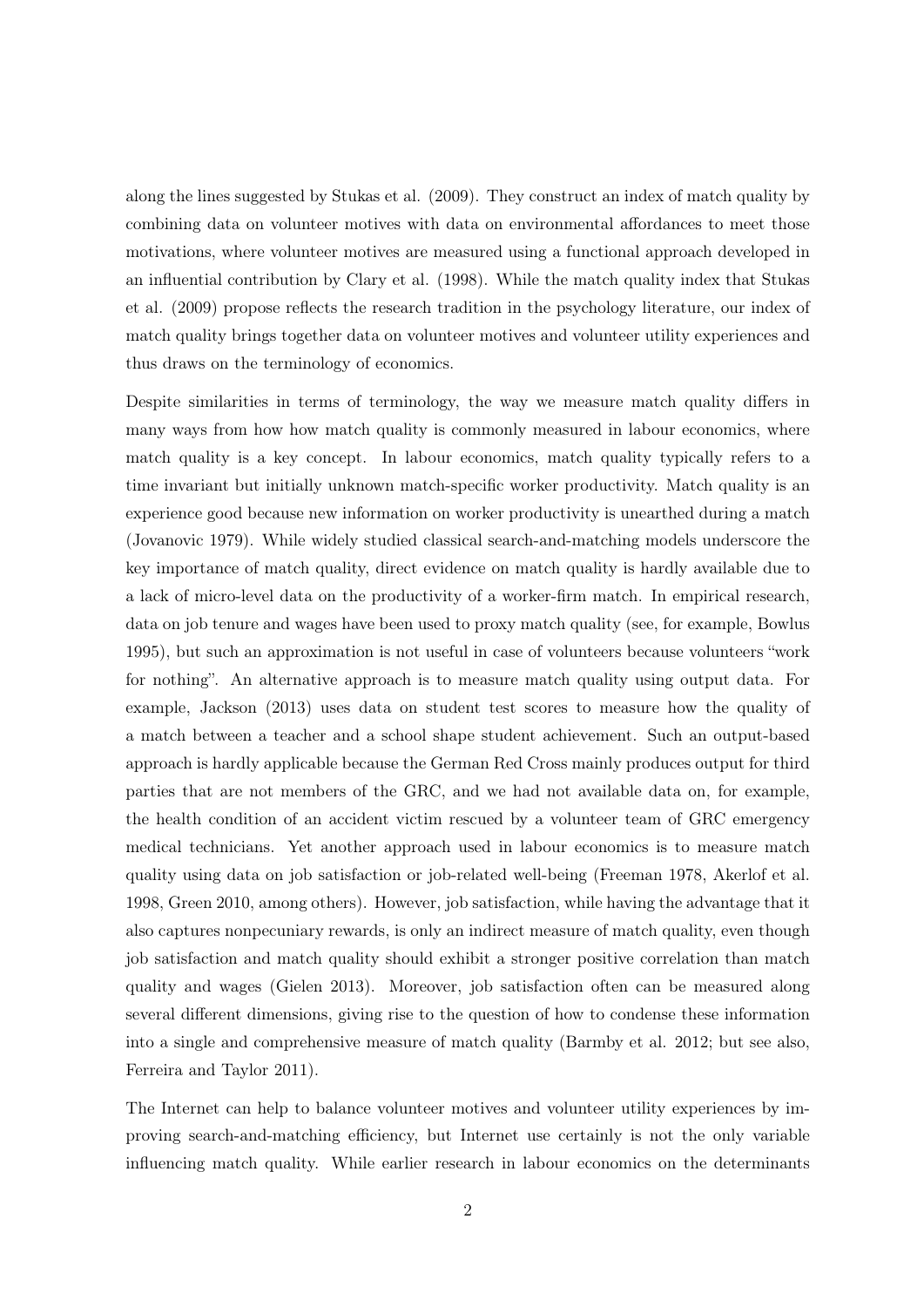along the lines suggested by Stukas et al. (2009). They construct an index of match quality by combining data on volunteer motives with data on environmental affordances to meet those motivations, where volunteer motives are measured using a functional approach developed in an influential contribution by Clary et al. (1998). While the match quality index that Stukas et al. (2009) propose reflects the research tradition in the psychology literature, our index of match quality brings together data on volunteer motives and volunteer utility experiences and thus draws on the terminology of economics.

Despite similarities in terms of terminology, the way we measure match quality differs in many ways from how how match quality is commonly measured in labour economics, where match quality is a key concept. In labour economics, match quality typically refers to a time invariant but initially unknown match-specific worker productivity. Match quality is an experience good because new information on worker productivity is unearthed during a match (Jovanovic 1979). While widely studied classical search-and-matching models underscore the key importance of match quality, direct evidence on match quality is hardly available due to a lack of micro-level data on the productivity of a worker-firm match. In empirical research, data on job tenure and wages have been used to proxy match quality (see, for example, Bowlus 1995), but such an approximation is not useful in case of volunteers because volunteers "work for nothing". An alternative approach is to measure match quality using output data. For example, Jackson (2013) uses data on student test scores to measure how the quality of a match between a teacher and a school shape student achievement. Such an output-based approach is hardly applicable because the German Red Cross mainly produces output for third parties that are not members of the GRC, and we had not available data on, for example, the health condition of an accident victim rescued by a volunteer team of GRC emergency medical technicians. Yet another approach used in labour economics is to measure match quality using data on job satisfaction or job-related well-being (Freeman 1978, Akerlof et al. 1998, Green 2010, among others). However, job satisfaction, while having the advantage that it also captures nonpecuniary rewards, is only an indirect measure of match quality, even though job satisfaction and match quality should exhibit a stronger positive correlation than match quality and wages (Gielen 2013). Moreover, job satisfaction often can be measured along several different dimensions, giving rise to the question of how to condense these information into a single and comprehensive measure of match quality (Barmby et al. 2012; but see also, Ferreira and Taylor 2011).

The Internet can help to balance volunteer motives and volunteer utility experiences by improving search-and-matching efficiency, but Internet use certainly is not the only variable influencing match quality. While earlier research in labour economics on the determinants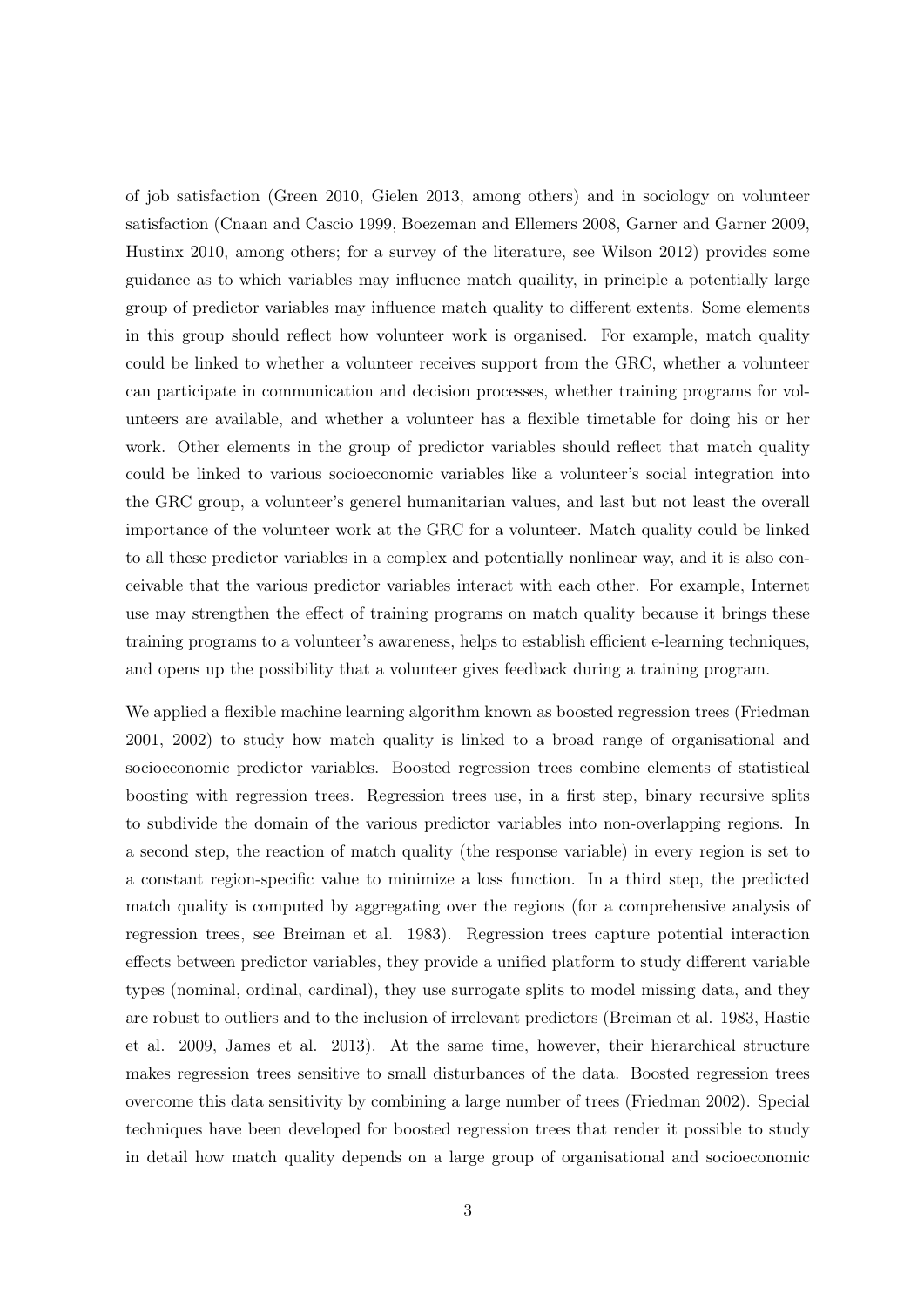of job satisfaction (Green 2010, Gielen 2013, among others) and in sociology on volunteer satisfaction (Cnaan and Cascio 1999, Boezeman and Ellemers 2008, Garner and Garner 2009, Hustinx 2010, among others; for a survey of the literature, see Wilson 2012) provides some guidance as to which variables may influence match quaility, in principle a potentially large group of predictor variables may influence match quality to different extents. Some elements in this group should reflect how volunteer work is organised. For example, match quality could be linked to whether a volunteer receives support from the GRC, whether a volunteer can participate in communication and decision processes, whether training programs for volunteers are available, and whether a volunteer has a flexible timetable for doing his or her work. Other elements in the group of predictor variables should reflect that match quality could be linked to various socioeconomic variables like a volunteer's social integration into the GRC group, a volunteer's generel humanitarian values, and last but not least the overall importance of the volunteer work at the GRC for a volunteer. Match quality could be linked to all these predictor variables in a complex and potentially nonlinear way, and it is also conceivable that the various predictor variables interact with each other. For example, Internet use may strengthen the effect of training programs on match quality because it brings these training programs to a volunteer's awareness, helps to establish efficient e-learning techniques, and opens up the possibility that a volunteer gives feedback during a training program.

We applied a flexible machine learning algorithm known as boosted regression trees (Friedman 2001, 2002) to study how match quality is linked to a broad range of organisational and socioeconomic predictor variables. Boosted regression trees combine elements of statistical boosting with regression trees. Regression trees use, in a first step, binary recursive splits to subdivide the domain of the various predictor variables into non-overlapping regions. In a second step, the reaction of match quality (the response variable) in every region is set to a constant region-specific value to minimize a loss function. In a third step, the predicted match quality is computed by aggregating over the regions (for a comprehensive analysis of regression trees, see Breiman et al. 1983). Regression trees capture potential interaction effects between predictor variables, they provide a unified platform to study different variable types (nominal, ordinal, cardinal), they use surrogate splits to model missing data, and they are robust to outliers and to the inclusion of irrelevant predictors (Breiman et al. 1983, Hastie et al. 2009, James et al. 2013). At the same time, however, their hierarchical structure makes regression trees sensitive to small disturbances of the data. Boosted regression trees overcome this data sensitivity by combining a large number of trees (Friedman 2002). Special techniques have been developed for boosted regression trees that render it possible to study in detail how match quality depends on a large group of organisational and socioeconomic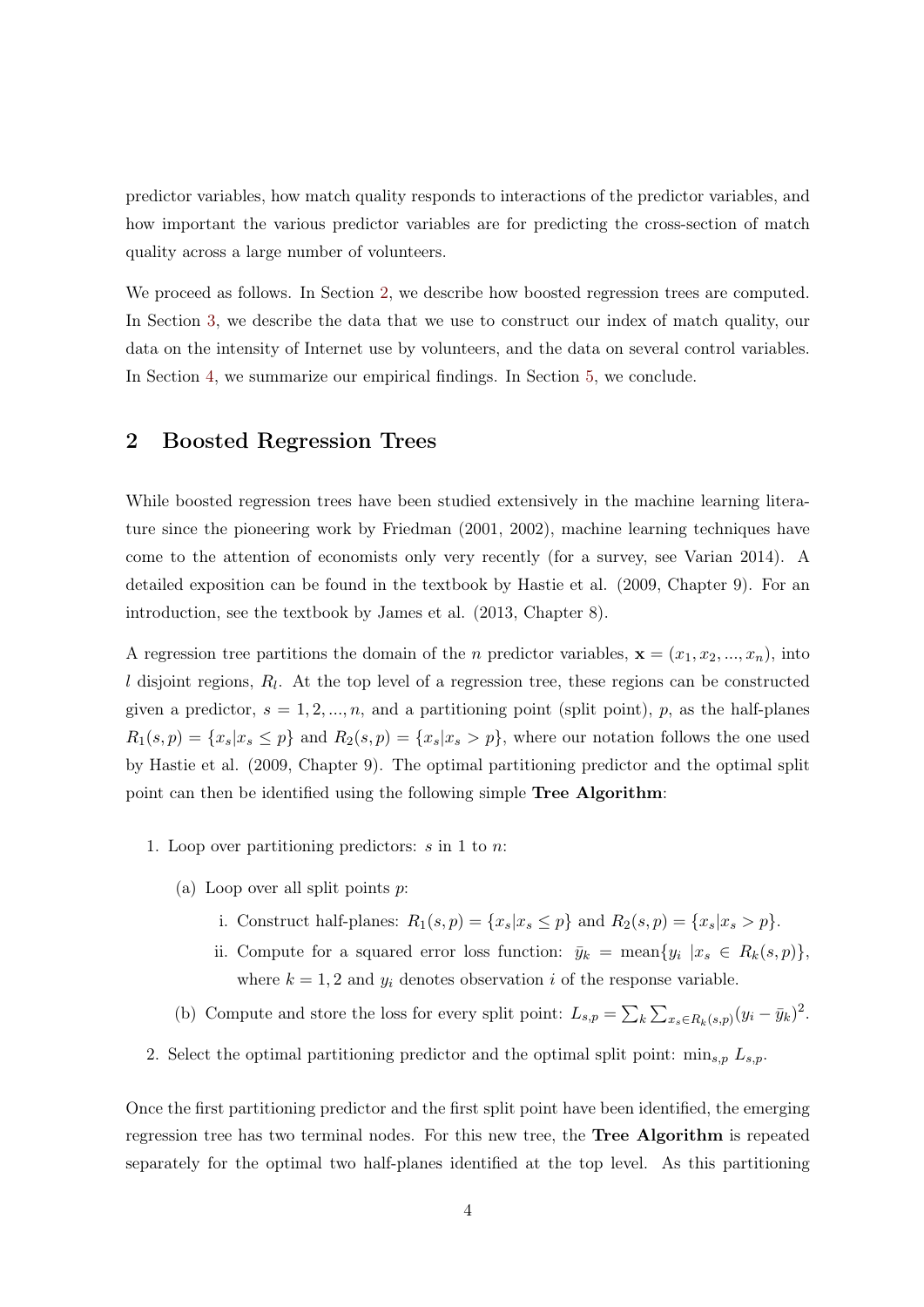predictor variables, how match quality responds to interactions of the predictor variables, and how important the various predictor variables are for predicting the cross-section of match quality across a large number of volunteers.

We proceed as follows. In Section [2,](#page-6-0) we describe how boosted regression trees are computed. In Section [3,](#page-8-0) we describe the data that we use to construct our index of match quality, our data on the intensity of Internet use by volunteers, and the data on several control variables. In Section [4,](#page-16-0) we summarize our empirical findings. In Section [5,](#page-23-0) we conclude.

# <span id="page-6-0"></span>2 Boosted Regression Trees

While boosted regression trees have been studied extensively in the machine learning literature since the pioneering work by Friedman (2001, 2002), machine learning techniques have come to the attention of economists only very recently (for a survey, see Varian 2014). A detailed exposition can be found in the textbook by Hastie et al. (2009, Chapter 9). For an introduction, see the textbook by James et al. (2013, Chapter 8).

A regression tree partitions the domain of the *n* predictor variables,  $\mathbf{x} = (x_1, x_2, ..., x_n)$ , into  $l$  disjoint regions,  $R_l$ . At the top level of a regression tree, these regions can be constructed given a predictor,  $s = 1, 2, ..., n$ , and a partitioning point (split point), p, as the half-planes  $R_1(s,p) = \{x_s | x_s \leq p\}$  and  $R_2(s,p) = \{x_s | x_s > p\}$ , where our notation follows the one used by Hastie et al. (2009, Chapter 9). The optimal partitioning predictor and the optimal split point can then be identified using the following simple Tree Algorithm:

- 1. Loop over partitioning predictors:  $s$  in 1 to  $n$ :
	- (a) Loop over all split points  $p$ :
		- i. Construct half-planes:  $R_1(s, p) = \{x_s | x_s \leq p\}$  and  $R_2(s, p) = \{x_s | x_s > p\}.$
		- ii. Compute for a squared error loss function:  $\bar{y}_k = \text{mean}\{y_i \mid x_s \in R_k(s, p)\},$ where  $k = 1, 2$  and  $y_i$  denotes observation i of the response variable.
	- (b) Compute and store the loss for every split point:  $L_{s,p} = \sum_{k} \sum_{x_s \in R_k(s,p)} (y_i \bar{y}_k)^2$ .
- 2. Select the optimal partitioning predictor and the optimal split point:  $\min_{s,p} L_{s,p}$ .

Once the first partitioning predictor and the first split point have been identified, the emerging regression tree has two terminal nodes. For this new tree, the Tree Algorithm is repeated separately for the optimal two half-planes identified at the top level. As this partitioning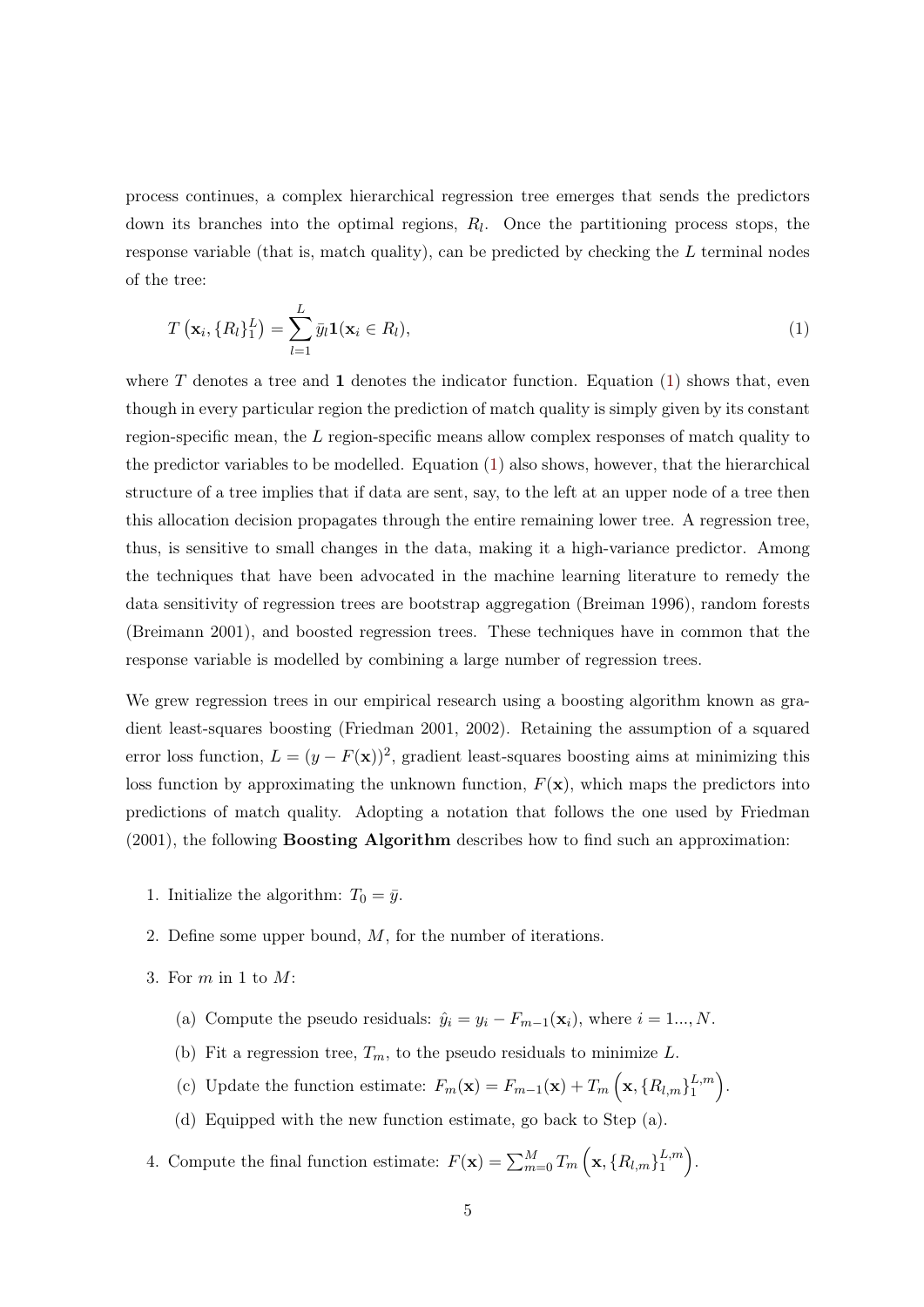process continues, a complex hierarchical regression tree emerges that sends the predictors down its branches into the optimal regions,  $R_l$ . Once the partitioning process stops, the response variable (that is, match quality), can be predicted by checking the  $L$  terminal nodes of the tree:

<span id="page-7-0"></span>
$$
T\left(\mathbf{x}_i, \{R_l\}_1^L\right) = \sum_{l=1}^L \bar{y}_l \mathbf{1}(\mathbf{x}_i \in R_l),\tag{1}
$$

where  $T$  denotes a tree and 1 denotes the indicator function. Equation [\(1\)](#page-7-0) shows that, even though in every particular region the prediction of match quality is simply given by its constant region-specific mean, the L region-specific means allow complex responses of match quality to the predictor variables to be modelled. Equation [\(1\)](#page-7-0) also shows, however, that the hierarchical structure of a tree implies that if data are sent, say, to the left at an upper node of a tree then this allocation decision propagates through the entire remaining lower tree. A regression tree, thus, is sensitive to small changes in the data, making it a high-variance predictor. Among the techniques that have been advocated in the machine learning literature to remedy the data sensitivity of regression trees are bootstrap aggregation (Breiman 1996), random forests (Breimann 2001), and boosted regression trees. These techniques have in common that the response variable is modelled by combining a large number of regression trees.

We grew regression trees in our empirical research using a boosting algorithm known as gradient least-squares boosting (Friedman 2001, 2002). Retaining the assumption of a squared error loss function,  $L = (y - F(\mathbf{x}))^2$ , gradient least-squares boosting aims at minimizing this loss function by approximating the unknown function,  $F(\mathbf{x})$ , which maps the predictors into predictions of match quality. Adopting a notation that follows the one used by Friedman (2001), the following Boosting Algorithm describes how to find such an approximation:

- 1. Initialize the algorithm:  $T_0 = \bar{y}$ .
- 2. Define some upper bound,  $M$ , for the number of iterations.
- 3. For m in 1 to M:
	- (a) Compute the pseudo residuals:  $\hat{y}_i = y_i F_{m-1}(\mathbf{x}_i)$ , where  $i = 1..., N$ .
	- (b) Fit a regression tree,  $T_m$ , to the pseudo residuals to minimize L.
	- (c) Update the function estimate:  $F_m(\mathbf{x}) = F_{m-1}(\mathbf{x}) + T_m \left( \mathbf{x}, \{R_{l,m}\}_{1}^{L,m}\right)$  $\binom{L,m}{1}$ .
	- (d) Equipped with the new function estimate, go back to Step (a).
- 4. Compute the final function estimate:  $F(\mathbf{x}) = \sum_{m=0}^{M} T_m \left( \mathbf{x}, \{R_{l,m}\}_{1}^{L,m} \right)$  $\binom{L,m}{1}$ .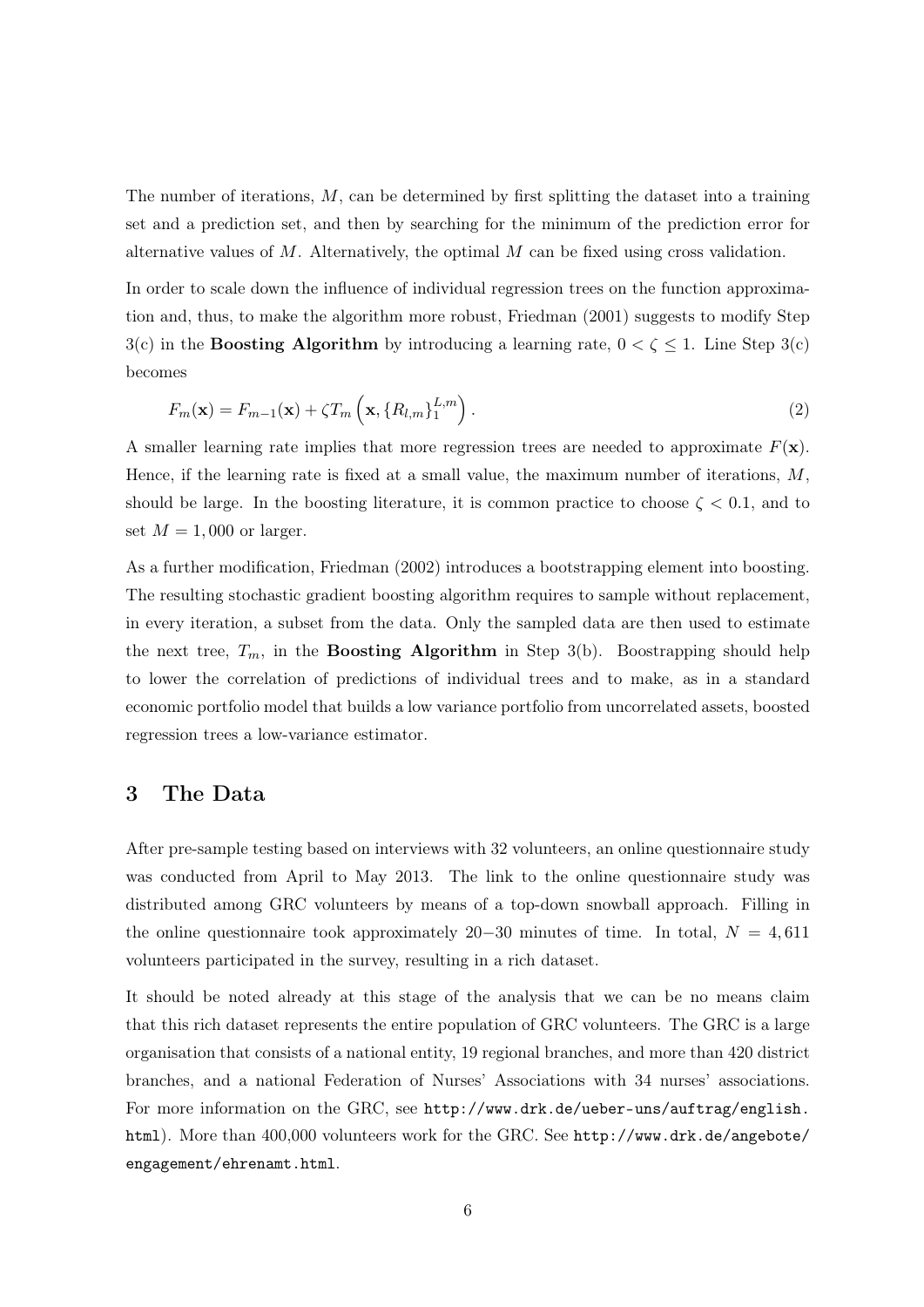The number of iterations,  $M$ , can be determined by first splitting the dataset into a training set and a prediction set, and then by searching for the minimum of the prediction error for alternative values of  $M$ . Alternatively, the optimal  $M$  can be fixed using cross validation.

In order to scale down the influence of individual regression trees on the function approximation and, thus, to make the algorithm more robust, Friedman (2001) suggests to modify Step 3(c) in the **Boosting Algorithm** by introducing a learning rate,  $0 < \zeta \le 1$ . Line Step 3(c) becomes

<span id="page-8-1"></span>
$$
F_m(\mathbf{x}) = F_{m-1}(\mathbf{x}) + \zeta T_m\left(\mathbf{x}, \{R_{l,m}\}_{1}^{L,m}\right). \tag{2}
$$

A smaller learning rate implies that more regression trees are needed to approximate  $F(\mathbf{x})$ . Hence, if the learning rate is fixed at a small value, the maximum number of iterations,  $M$ , should be large. In the boosting literature, it is common practice to choose  $\zeta < 0.1$ , and to set  $M = 1,000$  or larger.

As a further modification, Friedman (2002) introduces a bootstrapping element into boosting. The resulting stochastic gradient boosting algorithm requires to sample without replacement, in every iteration, a subset from the data. Only the sampled data are then used to estimate the next tree,  $T_m$ , in the **Boosting Algorithm** in Step 3(b). Boostrapping should help to lower the correlation of predictions of individual trees and to make, as in a standard economic portfolio model that builds a low variance portfolio from uncorrelated assets, boosted regression trees a low-variance estimator.

# <span id="page-8-0"></span>3 The Data

After pre-sample testing based on interviews with 32 volunteers, an online questionnaire study was conducted from April to May 2013. The link to the online questionnaire study was distributed among GRC volunteers by means of a top-down snowball approach. Filling in the online questionnaire took approximately 20−30 minutes of time. In total,  $N = 4,611$ volunteers participated in the survey, resulting in a rich dataset.

It should be noted already at this stage of the analysis that we can be no means claim that this rich dataset represents the entire population of GRC volunteers. The GRC is a large organisation that consists of a national entity, 19 regional branches, and more than 420 district branches, and a national Federation of Nurses' Associations with 34 nurses' associations. For more information on the GRC, see [http://www.drk.de/ueber-uns/auftrag/english.](http://www.drk.de/ueber-uns/auftrag/english.html) [html](http://www.drk.de/ueber-uns/auftrag/english.html)). More than 400,000 volunteers work for the GRC. See [http://www.drk.de/angebote/](http://www.drk.de/angebote/engagement/ehrenamt.html) [engagement/ehrenamt.html](http://www.drk.de/angebote/engagement/ehrenamt.html).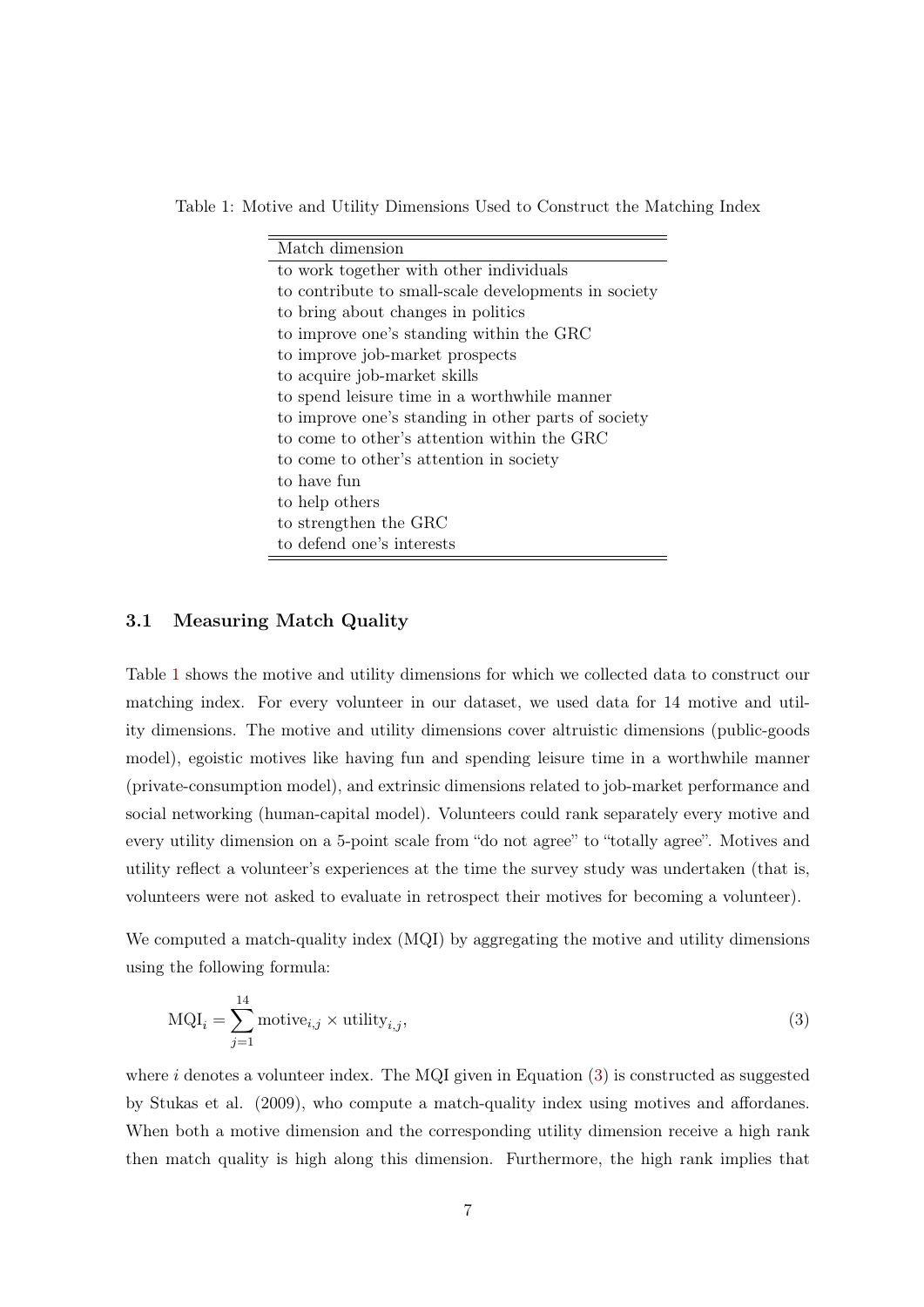Table 1: Motive and Utility Dimensions Used to Construct the Matching Index

<span id="page-9-0"></span>

| Match dimension                                      |  |  |  |
|------------------------------------------------------|--|--|--|
| to work together with other individuals              |  |  |  |
| to contribute to small-scale developments in society |  |  |  |
| to bring about changes in politics                   |  |  |  |
| to improve one's standing within the GRC             |  |  |  |
| to improve job-market prospects                      |  |  |  |
| to acquire job-market skills                         |  |  |  |
| to spend leisure time in a worthwhile manner         |  |  |  |
| to improve one's standing in other parts of society  |  |  |  |
| to come to other's attention within the GRC          |  |  |  |
| to come to other's attention in society              |  |  |  |
| to have fun                                          |  |  |  |
| to help others                                       |  |  |  |
| to strengthen the GRC                                |  |  |  |
| to defend one's interests                            |  |  |  |

## 3.1 Measuring Match Quality

Table [1](#page-9-0) shows the motive and utility dimensions for which we collected data to construct our matching index. For every volunteer in our dataset, we used data for 14 motive and utility dimensions. The motive and utility dimensions cover altruistic dimensions (public-goods model), egoistic motives like having fun and spending leisure time in a worthwhile manner (private-consumption model), and extrinsic dimensions related to job-market performance and social networking (human-capital model). Volunteers could rank separately every motive and every utility dimension on a 5-point scale from "do not agree" to "totally agree". Motives and utility reflect a volunteer's experiences at the time the survey study was undertaken (that is, volunteers were not asked to evaluate in retrospect their motives for becoming a volunteer).

We computed a match-quality index (MQI) by aggregating the motive and utility dimensions using the following formula:

<span id="page-9-1"></span>
$$
\text{MQI}_i = \sum_{j=1}^{14} \text{motive}_{i,j} \times \text{utility}_{i,j},\tag{3}
$$

where  $i$  denotes a volunteer index. The MQI given in Equation  $(3)$  is constructed as suggested by Stukas et al. (2009), who compute a match-quality index using motives and affordanes. When both a motive dimension and the corresponding utility dimension receive a high rank then match quality is high along this dimension. Furthermore, the high rank implies that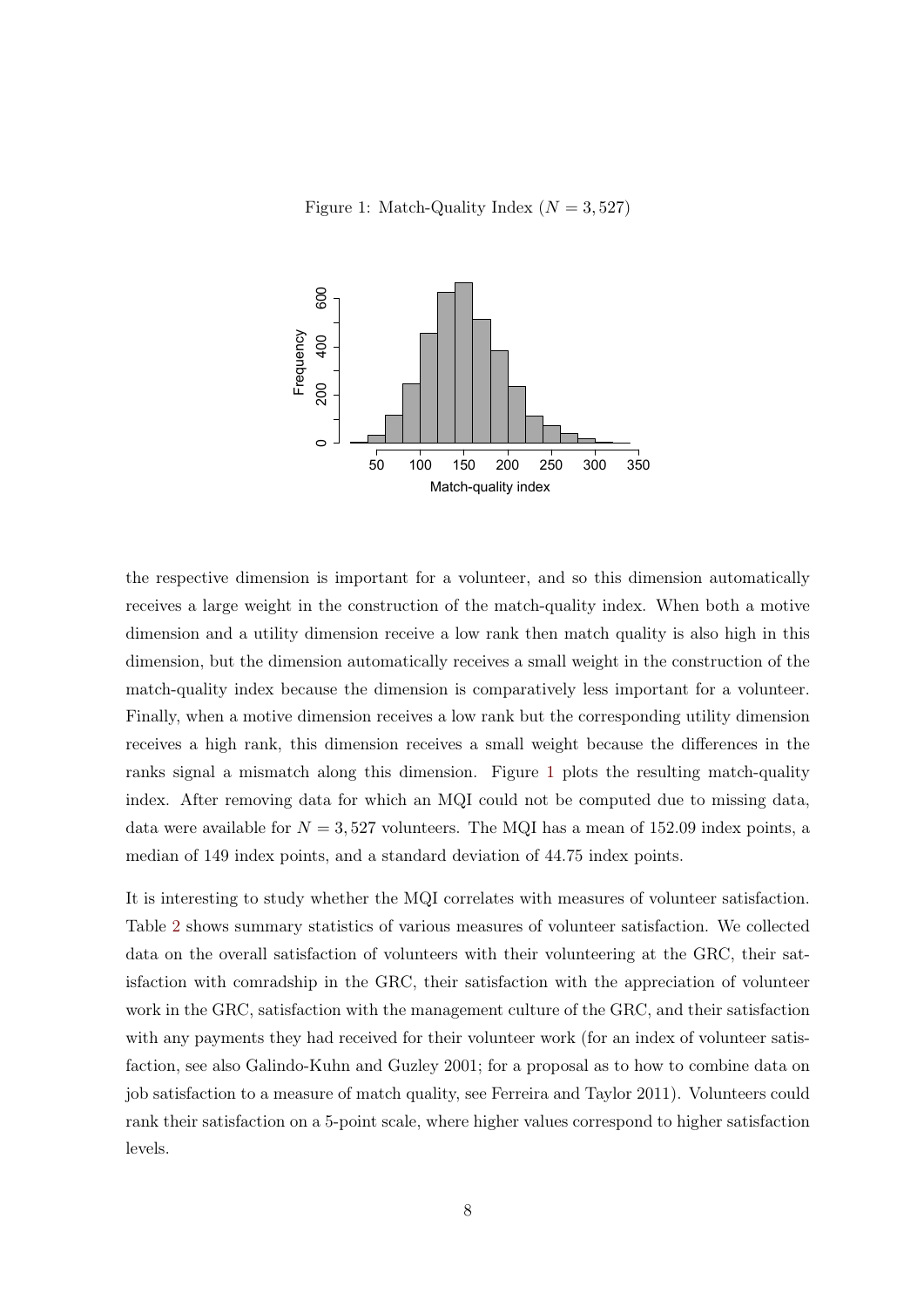<span id="page-10-0"></span>Figure 1: Match-Quality Index ( $N = 3,527$ )



the respective dimension is important for a volunteer, and so this dimension automatically receives a large weight in the construction of the match-quality index. When both a motive dimension and a utility dimension receive a low rank then match quality is also high in this dimension, but the dimension automatically receives a small weight in the construction of the match-quality index because the dimension is comparatively less important for a volunteer. Finally, when a motive dimension receives a low rank but the corresponding utility dimension receives a high rank, this dimension receives a small weight because the differences in the ranks signal a mismatch along this dimension. Figure [1](#page-10-0) plots the resulting match-quality index. After removing data for which an MQI could not be computed due to missing data, data were available for  $N = 3,527$  volunteers. The MQI has a mean of 152.09 index points, a median of 149 index points, and a standard deviation of 44.75 index points.

It is interesting to study whether the MQI correlates with measures of volunteer satisfaction. Table [2](#page-11-0) shows summary statistics of various measures of volunteer satisfaction. We collected data on the overall satisfaction of volunteers with their volunteering at the GRC, their satisfaction with comradship in the GRC, their satisfaction with the appreciation of volunteer work in the GRC, satisfaction with the management culture of the GRC, and their satisfaction with any payments they had received for their volunteer work (for an index of volunteer satisfaction, see also Galindo-Kuhn and Guzley 2001; for a proposal as to how to combine data on job satisfaction to a measure of match quality, see Ferreira and Taylor 2011). Volunteers could rank their satisfaction on a 5-point scale, where higher values correspond to higher satisfaction levels.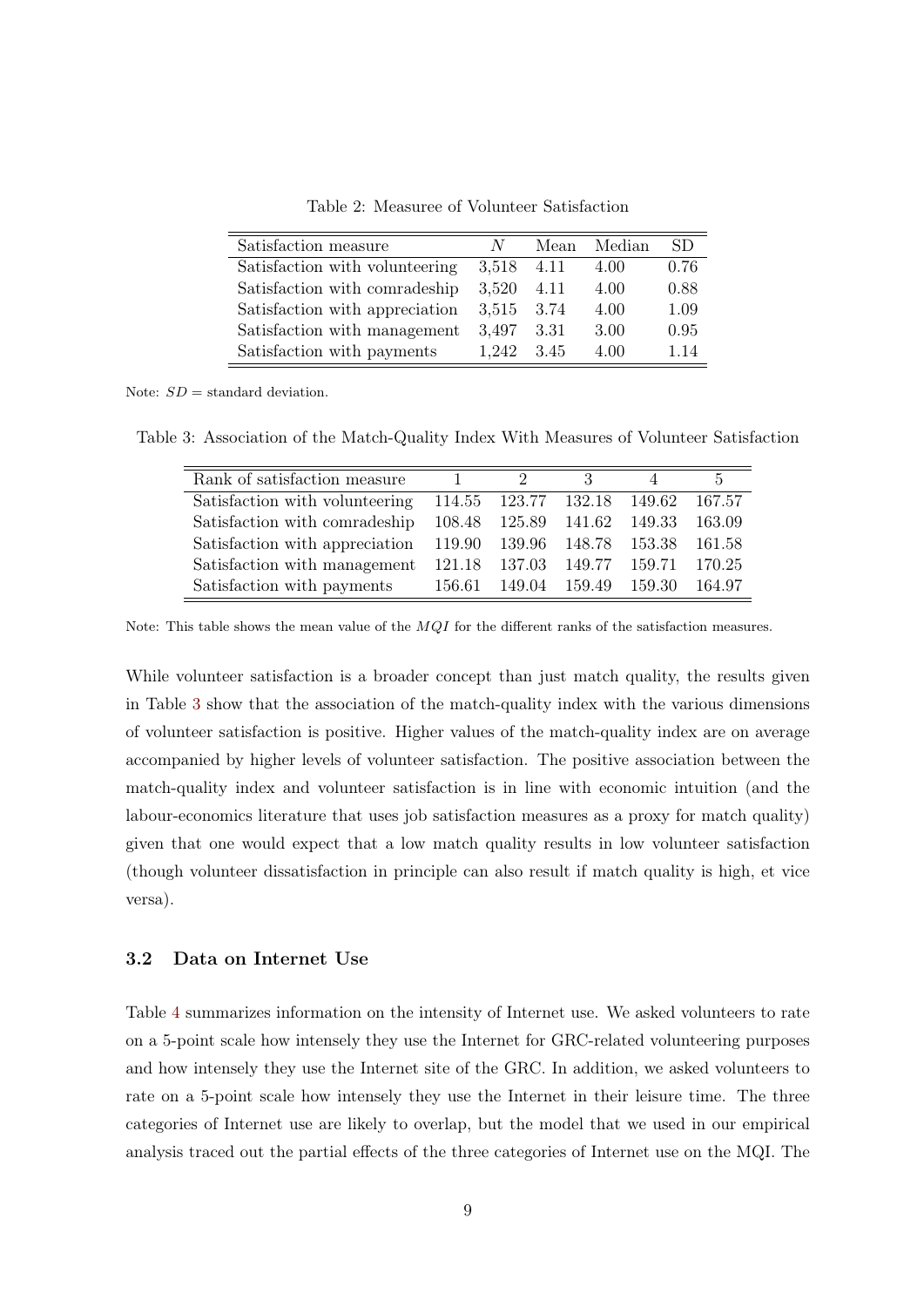| $N_{\rm c}$ |                                                                                                                                                                                       | SD.         |
|-------------|---------------------------------------------------------------------------------------------------------------------------------------------------------------------------------------|-------------|
|             | 4.00                                                                                                                                                                                  | 0.76        |
|             | 4.00                                                                                                                                                                                  | 0.88        |
|             | 4.00                                                                                                                                                                                  | 1.09        |
|             | 3.00                                                                                                                                                                                  | 0.95        |
|             | Satisfaction with volunteering $3,518$ 4.11<br>Satisfaction with comradeship $3,520$ 4.11<br>Satisfaction with appreciation $3,515$ 3.74<br>Satisfaction with management $3,497$ 3.31 | Mean Median |

Satisfaction with payments  $1,242$  3.45  $4.00$  1.14

<span id="page-11-0"></span>Table 2: Measuree of Volunteer Satisfaction

Note:  $SD =$  standard deviation.

 $\equiv$ 

Table 3: Association of the Match-Quality Index With Measures of Volunteer Satisfaction

<span id="page-11-1"></span>

| Rank of satisfaction measure   | 1.     | $2^{\circ}$                 | 3             |        | $\mathbf{p}$ |
|--------------------------------|--------|-----------------------------|---------------|--------|--------------|
| Satisfaction with volunteering |        | 114.55 123.77 132.18 149.62 |               |        | 167.57       |
| Satisfaction with comradeship  |        | 108.48 125.89 141.62 149.33 |               |        | 163.09       |
| Satisfaction with appreciation |        | 119.90 139.96 148.78 153.38 |               |        | 161.58       |
| Satisfaction with management   |        | 121.18 137.03               | 149.77 159.71 |        | 170.25       |
| Satisfaction with payments     | 156.61 | 149.04                      | 159.49        | 159.30 | 164.97       |

Note: This table shows the mean value of the  $MQI$  for the different ranks of the satisfaction measures.

While volunteer satisfaction is a broader concept than just match quality, the results given in Table [3](#page-11-1) show that the association of the match-quality index with the various dimensions of volunteer satisfaction is positive. Higher values of the match-quality index are on average accompanied by higher levels of volunteer satisfaction. The positive association between the match-quality index and volunteer satisfaction is in line with economic intuition (and the labour-economics literature that uses job satisfaction measures as a proxy for match quality) given that one would expect that a low match quality results in low volunteer satisfaction (though volunteer dissatisfaction in principle can also result if match quality is high, et vice versa).

#### 3.2 Data on Internet Use

Table [4](#page-12-0) summarizes information on the intensity of Internet use. We asked volunteers to rate on a 5-point scale how intensely they use the Internet for GRC-related volunteering purposes and how intensely they use the Internet site of the GRC. In addition, we asked volunteers to rate on a 5-point scale how intensely they use the Internet in their leisure time. The three categories of Internet use are likely to overlap, but the model that we used in our empirical analysis traced out the partial effects of the three categories of Internet use on the MQI. The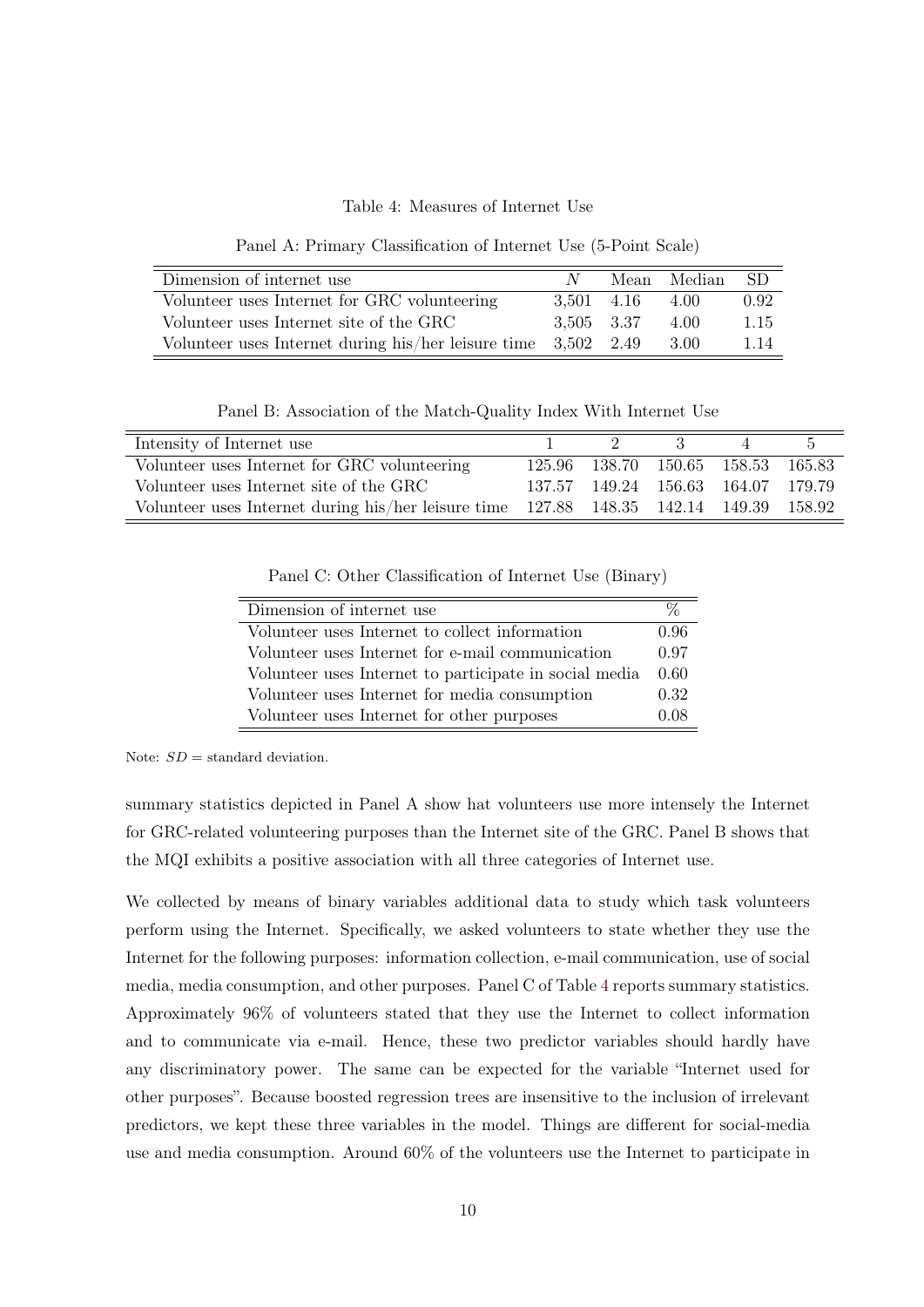<span id="page-12-0"></span>Table 4: Measures of Internet Use

Panel A: Primary Classification of Internet Use (5-Point Scale)

| Dimension of internet use                                        | N -        |                               | Mean Median SD |      |
|------------------------------------------------------------------|------------|-------------------------------|----------------|------|
| Volunteer uses Internet for GRC volunteering                     |            | $3.501 \quad 4.16 \quad 4.00$ |                | 0.92 |
| Volunteer uses Internet site of the GRC                          | 3,505 3.37 |                               | 4.00           | 1.15 |
| Volunteer uses Internet during his/her leisure time $3,502$ 2.49 |            |                               | -3.00          | 1.14 |

Panel B: Association of the Match-Quality Index With Internet Use

| Intensity of Internet use                                                              | $\eta$                             | $\mathcal{R}$ | h |
|----------------------------------------------------------------------------------------|------------------------------------|---------------|---|
| Volunteer uses Internet for GRC volunteering                                           | 125.96 138.70 150.65 158.53 165.83 |               |   |
| Volunteer uses Internet site of the GRC                                                | 137.57 149.24 156.63 164.07 179.79 |               |   |
| Volunteer uses Internet during his/her leisure time 127.88 148.35 142.14 149.39 158.92 |                                    |               |   |

Panel C: Other Classification of Internet Use (Binary)

| Dimension of internet use                              | $\%$ |
|--------------------------------------------------------|------|
| Volunteer uses Internet to collect information         | 0.96 |
| Volunteer uses Internet for e-mail communication       | 0.97 |
| Volunteer uses Internet to participate in social media | 0.60 |
| Volunteer uses Internet for media consumption          | 0.32 |
| Volunteer uses Internet for other purposes             | 0.08 |

Note:  $SD =$  standard deviation.

summary statistics depicted in Panel A show hat volunteers use more intensely the Internet for GRC-related volunteering purposes than the Internet site of the GRC. Panel B shows that the MQI exhibits a positive association with all three categories of Internet use.

We collected by means of binary variables additional data to study which task volunteers perform using the Internet. Specifically, we asked volunteers to state whether they use the Internet for the following purposes: information collection, e-mail communication, use of social media, media consumption, and other purposes. Panel C of Table [4](#page-12-0) reports summary statistics. Approximately 96% of volunteers stated that they use the Internet to collect information and to communicate via e-mail. Hence, these two predictor variables should hardly have any discriminatory power. The same can be expected for the variable "Internet used for other purposes". Because boosted regression trees are insensitive to the inclusion of irrelevant predictors, we kept these three variables in the model. Things are different for social-media use and media consumption. Around 60% of the volunteers use the Internet to participate in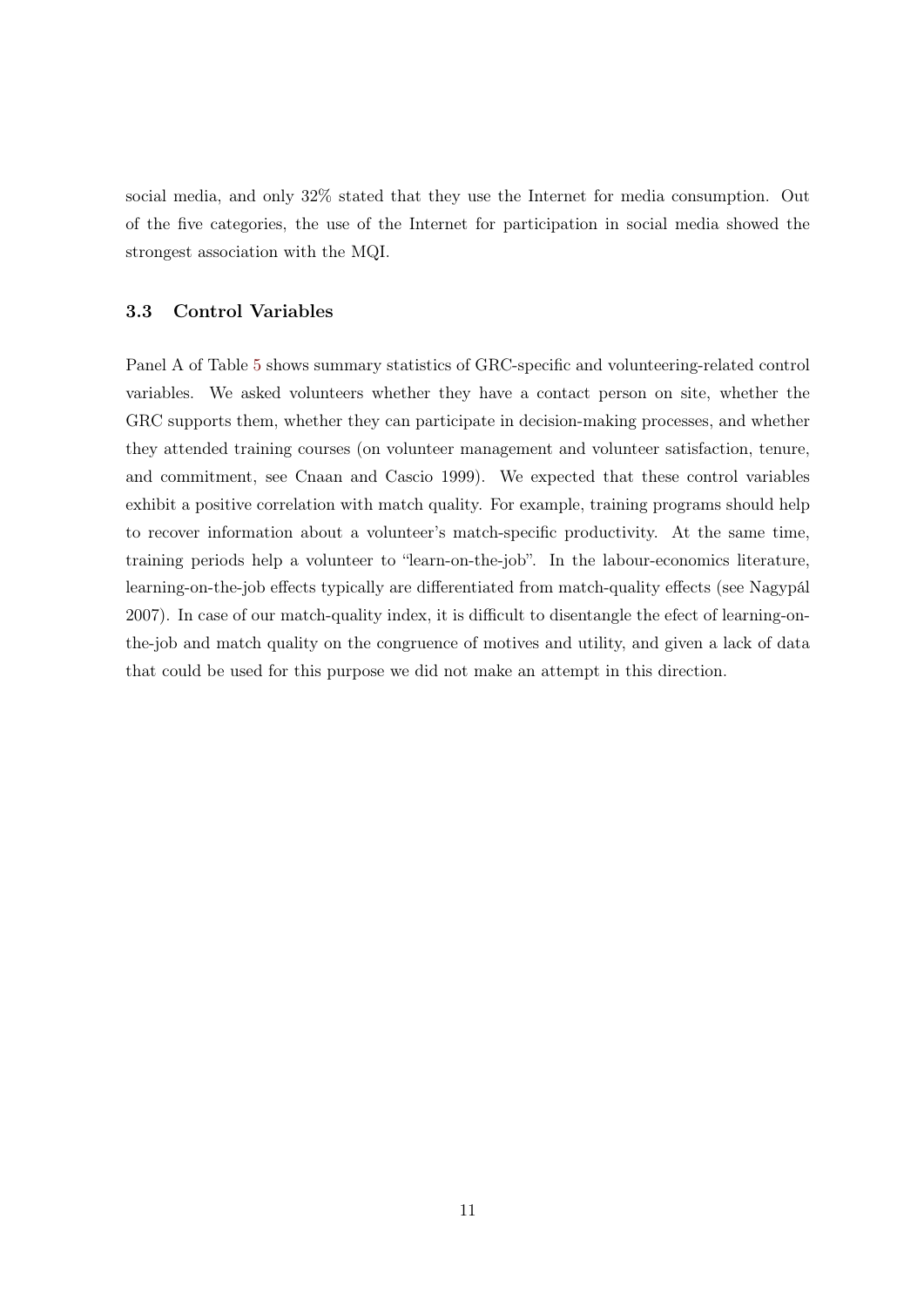social media, and only 32% stated that they use the Internet for media consumption. Out of the five categories, the use of the Internet for participation in social media showed the strongest association with the MQI.

### 3.3 Control Variables

Panel A of Table [5](#page-14-0) shows summary statistics of GRC-specific and volunteering-related control variables. We asked volunteers whether they have a contact person on site, whether the GRC supports them, whether they can participate in decision-making processes, and whether they attended training courses (on volunteer management and volunteer satisfaction, tenure, and commitment, see Cnaan and Cascio 1999). We expected that these control variables exhibit a positive correlation with match quality. For example, training programs should help to recover information about a volunteer's match-specific productivity. At the same time, training periods help a volunteer to "learn-on-the-job". In the labour-economics literature, learning-on-the-job effects typically are differentiated from match-quality effects (see Nagypál 2007). In case of our match-quality index, it is difficult to disentangle the efect of learning-onthe-job and match quality on the congruence of motives and utility, and given a lack of data that could be used for this purpose we did not make an attempt in this direction.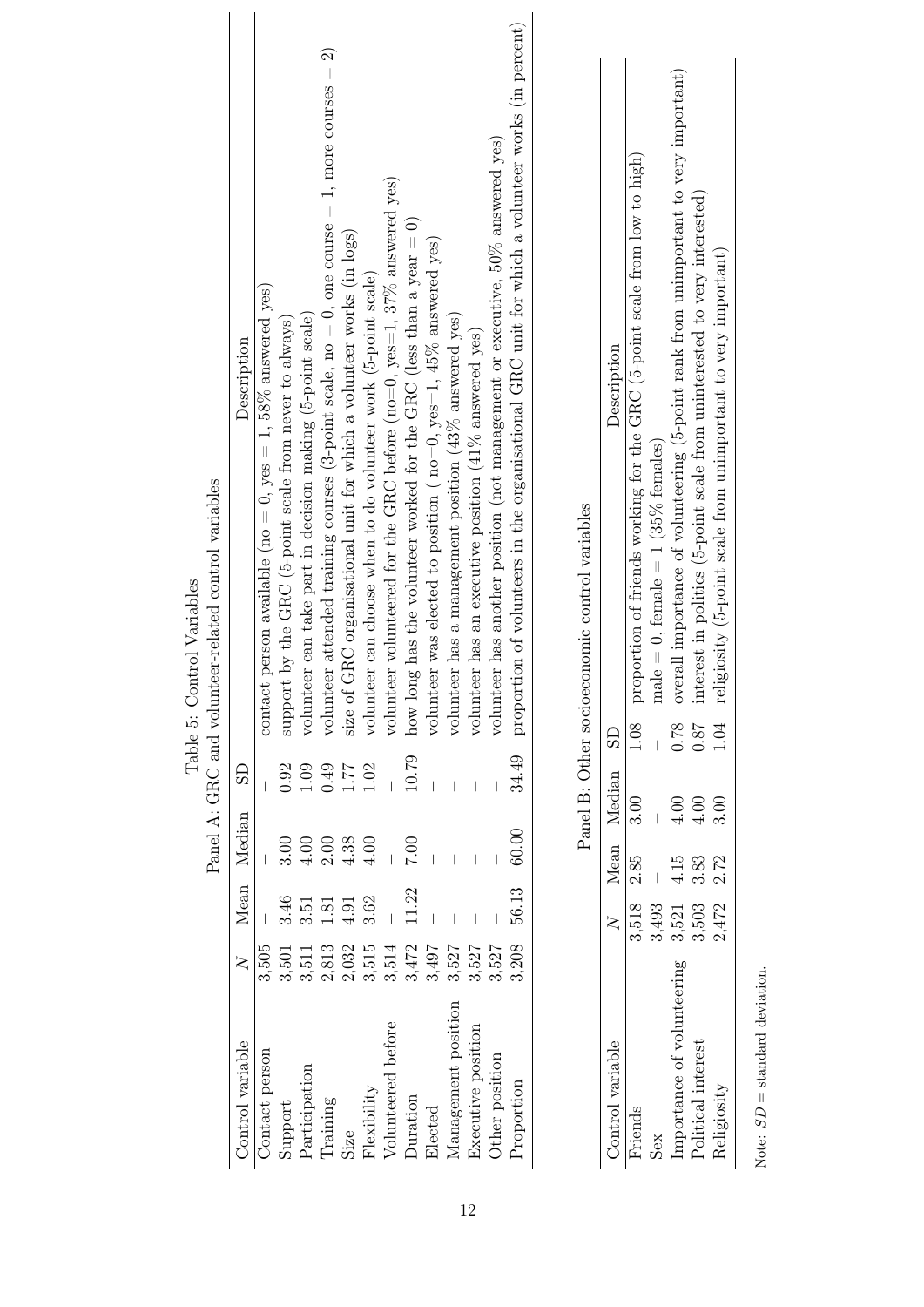<span id="page-14-0"></span>

Table 5: Control Variables Table 5: Control Variables

> Note:  $SD$  = standard deviation. Note:  $SD =$  standard deviation.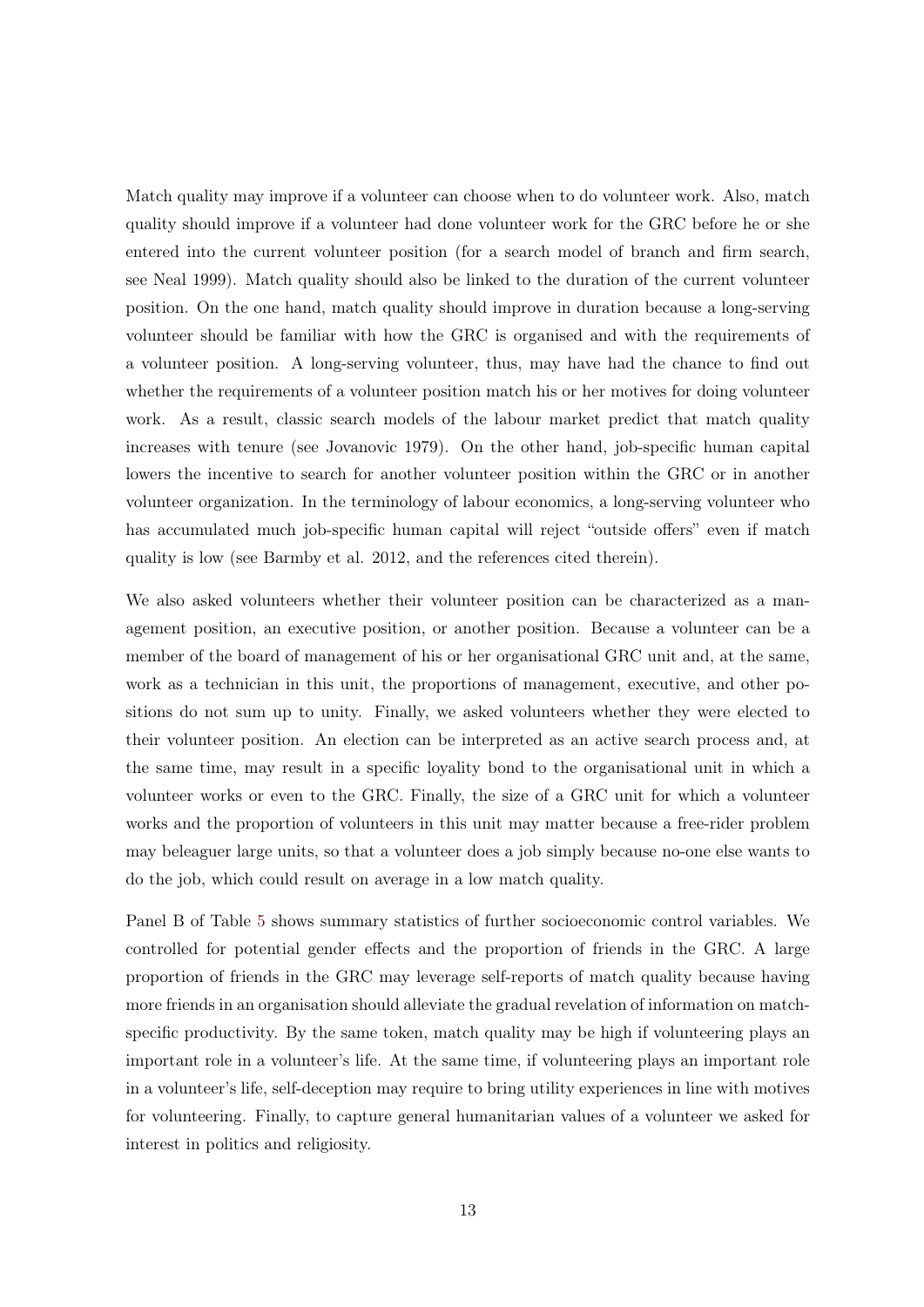Match quality may improve if a volunteer can choose when to do volunteer work. Also, match quality should improve if a volunteer had done volunteer work for the GRC before he or she entered into the current volunteer position (for a search model of branch and firm search, see Neal 1999). Match quality should also be linked to the duration of the current volunteer position. On the one hand, match quality should improve in duration because a long-serving volunteer should be familiar with how the GRC is organised and with the requirements of a volunteer position. A long-serving volunteer, thus, may have had the chance to find out whether the requirements of a volunteer position match his or her motives for doing volunteer work. As a result, classic search models of the labour market predict that match quality increases with tenure (see Jovanovic 1979). On the other hand, job-specific human capital lowers the incentive to search for another volunteer position within the GRC or in another volunteer organization. In the terminology of labour economics, a long-serving volunteer who has accumulated much job-specific human capital will reject "outside offers" even if match quality is low (see Barmby et al. 2012, and the references cited therein).

We also asked volunteers whether their volunteer position can be characterized as a management position, an executive position, or another position. Because a volunteer can be a member of the board of management of his or her organisational GRC unit and, at the same, work as a technician in this unit, the proportions of management, executive, and other positions do not sum up to unity. Finally, we asked volunteers whether they were elected to their volunteer position. An election can be interpreted as an active search process and, at the same time, may result in a specific loyality bond to the organisational unit in which a volunteer works or even to the GRC. Finally, the size of a GRC unit for which a volunteer works and the proportion of volunteers in this unit may matter because a free-rider problem may beleaguer large units, so that a volunteer does a job simply because no-one else wants to do the job, which could result on average in a low match quality.

Panel B of Table [5](#page-14-0) shows summary statistics of further socioeconomic control variables. We controlled for potential gender effects and the proportion of friends in the GRC. A large proportion of friends in the GRC may leverage self-reports of match quality because having more friends in an organisation should alleviate the gradual revelation of information on matchspecific productivity. By the same token, match quality may be high if volunteering plays an important role in a volunteer's life. At the same time, if volunteering plays an important role in a volunteer's life, self-deception may require to bring utility experiences in line with motives for volunteering. Finally, to capture general humanitarian values of a volunteer we asked for interest in politics and religiosity.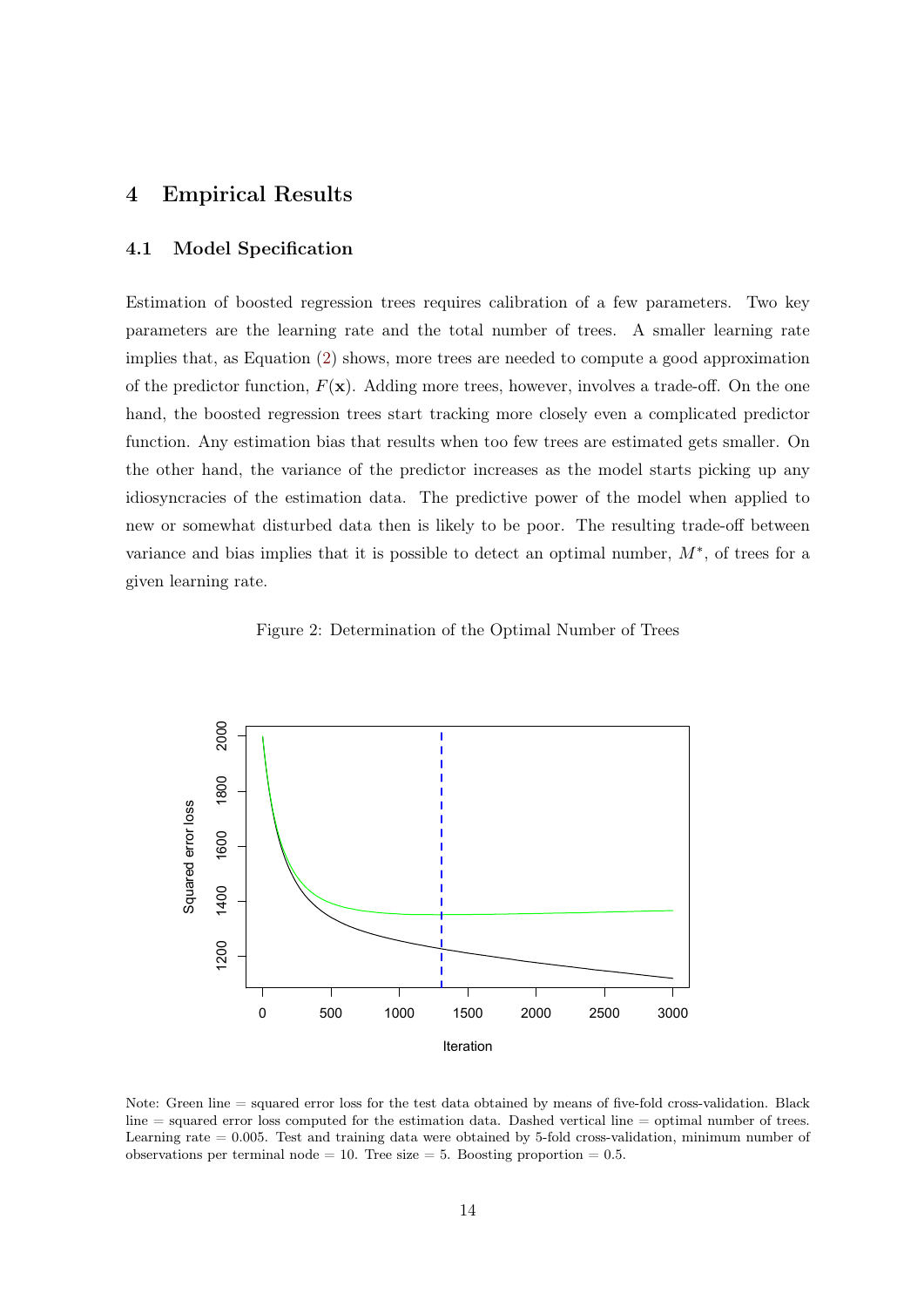# <span id="page-16-0"></span>4 Empirical Results

## 4.1 Model Specification

Estimation of boosted regression trees requires calibration of a few parameters. Two key parameters are the learning rate and the total number of trees. A smaller learning rate implies that, as Equation [\(2\)](#page-8-1) shows, more trees are needed to compute a good approximation of the predictor function,  $F(\mathbf{x})$ . Adding more trees, however, involves a trade-off. On the one hand, the boosted regression trees start tracking more closely even a complicated predictor function. Any estimation bias that results when too few trees are estimated gets smaller. On the other hand, the variance of the predictor increases as the model starts picking up any idiosyncracies of the estimation data. The predictive power of the model when applied to new or somewhat disturbed data then is likely to be poor. The resulting trade-off between variance and bias implies that it is possible to detect an optimal number,  $M^*$ , of trees for a given learning rate.

<span id="page-16-1"></span>Figure 2: Determination of the Optimal Number of Trees



Note: Green line = squared error loss for the test data obtained by means of five-fold cross-validation. Black  $\lim_{n \to \infty}$  squared error loss computed for the estimation data. Dashed vertical line  $=$  optimal number of trees. Learning rate  $= 0.005$ . Test and training data were obtained by 5-fold cross-validation, minimum number of observations per terminal node = 10. Tree size = 5. Boosting proportion =  $0.5$ .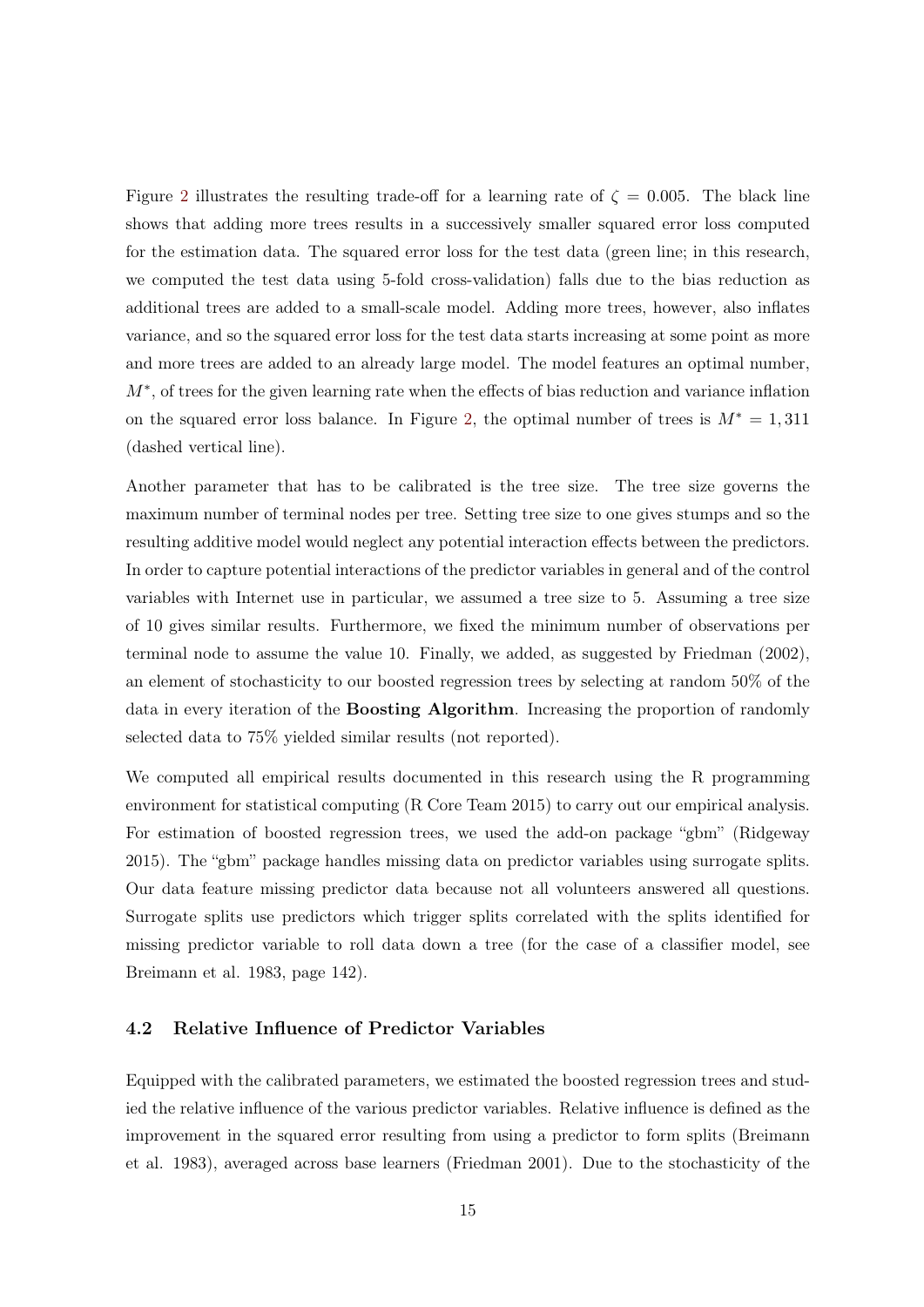Figure [2](#page-16-1) illustrates the resulting trade-off for a learning rate of  $\zeta = 0.005$ . The black line shows that adding more trees results in a successively smaller squared error loss computed for the estimation data. The squared error loss for the test data (green line; in this research, we computed the test data using 5-fold cross-validation) falls due to the bias reduction as additional trees are added to a small-scale model. Adding more trees, however, also inflates variance, and so the squared error loss for the test data starts increasing at some point as more and more trees are added to an already large model. The model features an optimal number,  $M^*$ , of trees for the given learning rate when the effects of bias reduction and variance inflation on the squared error loss balance. In Figure [2,](#page-16-1) the optimal number of trees is  $M^* = 1,311$ (dashed vertical line).

Another parameter that has to be calibrated is the tree size. The tree size governs the maximum number of terminal nodes per tree. Setting tree size to one gives stumps and so the resulting additive model would neglect any potential interaction effects between the predictors. In order to capture potential interactions of the predictor variables in general and of the control variables with Internet use in particular, we assumed a tree size to 5. Assuming a tree size of 10 gives similar results. Furthermore, we fixed the minimum number of observations per terminal node to assume the value 10. Finally, we added, as suggested by Friedman (2002), an element of stochasticity to our boosted regression trees by selecting at random 50% of the data in every iteration of the Boosting Algorithm. Increasing the proportion of randomly selected data to 75% yielded similar results (not reported).

We computed all empirical results documented in this research using the R programming environment for statistical computing (R Core Team 2015) to carry out our empirical analysis. For estimation of boosted regression trees, we used the add-on package "gbm" (Ridgeway 2015). The "gbm" package handles missing data on predictor variables using surrogate splits. Our data feature missing predictor data because not all volunteers answered all questions. Surrogate splits use predictors which trigger splits correlated with the splits identified for missing predictor variable to roll data down a tree (for the case of a classifier model, see Breimann et al. 1983, page 142).

#### 4.2 Relative Influence of Predictor Variables

Equipped with the calibrated parameters, we estimated the boosted regression trees and studied the relative influence of the various predictor variables. Relative influence is defined as the improvement in the squared error resulting from using a predictor to form splits (Breimann et al. 1983), averaged across base learners (Friedman 2001). Due to the stochasticity of the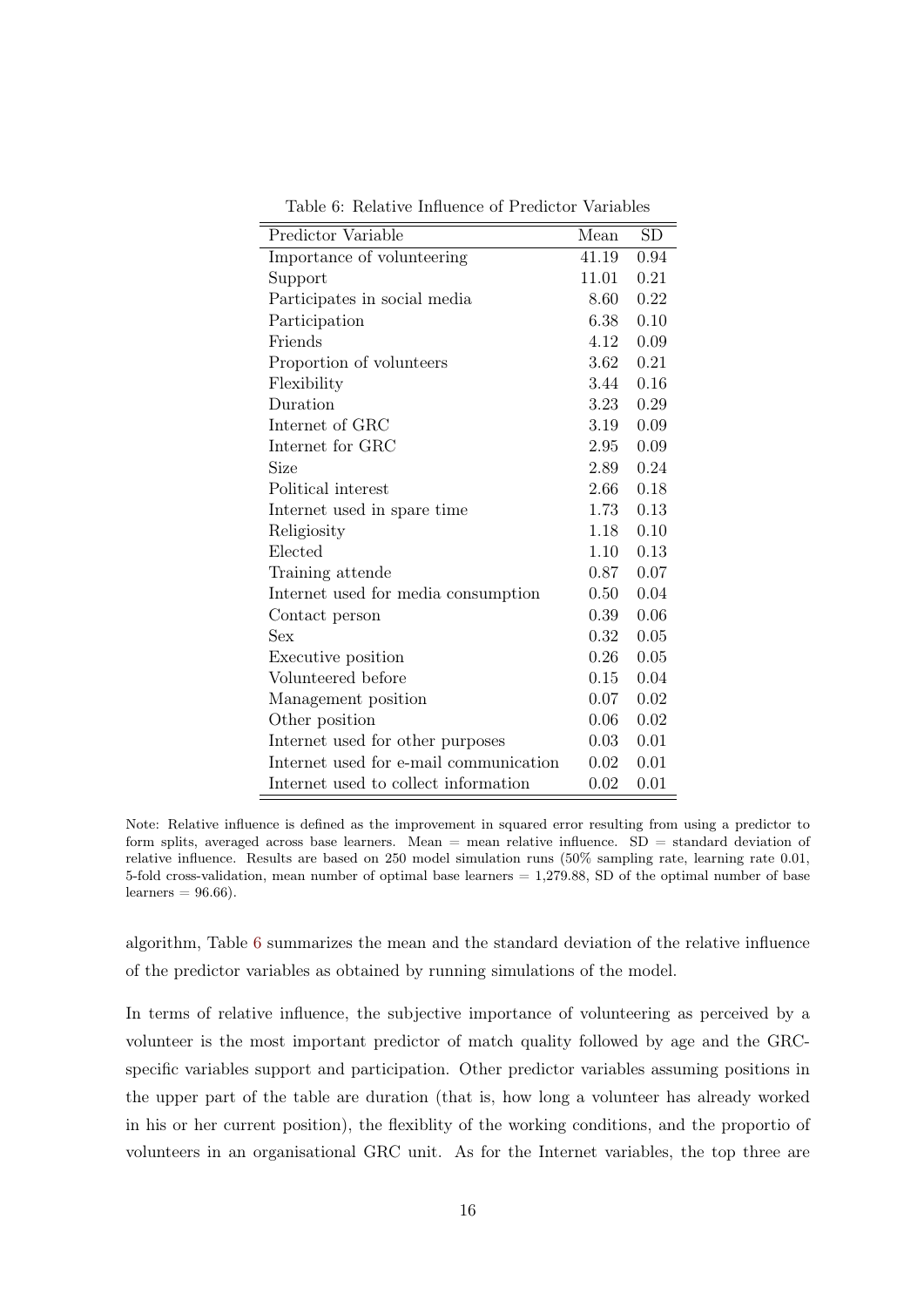| Predictor Variable                     | Mean     | SD   |
|----------------------------------------|----------|------|
| Importance of volunteering             | 41.19    | 0.94 |
| Support                                | 11.01    | 0.21 |
| Participates in social media           | 8.60     | 0.22 |
| Participation                          | 6.38     | 0.10 |
| Friends                                | 4.12     | 0.09 |
| Proportion of volunteers               | 3.62     | 0.21 |
| Flexibility                            | 3.44     | 0.16 |
| Duration                               | 3.23     | 0.29 |
| Internet of GRC                        | 3.19     | 0.09 |
| Internet for GRC                       | $2.95\,$ | 0.09 |
| Size                                   | 2.89     | 0.24 |
| Political interest                     | 2.66     | 0.18 |
| Internet used in spare time            | 1.73     | 0.13 |
| Religiosity                            | 1.18     | 0.10 |
| Elected                                | 1.10     | 0.13 |
| Training attende                       | 0.87     | 0.07 |
| Internet used for media consumption    | $0.50\,$ | 0.04 |
| Contact person                         | 0.39     | 0.06 |
| <b>Sex</b>                             | 0.32     | 0.05 |
| Executive position                     | 0.26     | 0.05 |
| Volunteered before                     | 0.15     | 0.04 |
| Management position                    | 0.07     | 0.02 |
| Other position                         | 0.06     | 0.02 |
| Internet used for other purposes       | 0.03     | 0.01 |
| Internet used for e-mail communication | 0.02     | 0.01 |
| Internet used to collect information   | 0.02     | 0.01 |

<span id="page-18-0"></span>Table 6: Relative Influence of Predictor Variables

Note: Relative influence is defined as the improvement in squared error resulting from using a predictor to form splits, averaged across base learners. Mean  $=$  mean relative influence. SD  $=$  standard deviation of relative influence. Results are based on 250 model simulation runs (50% sampling rate, learning rate 0.01, 5-fold cross-validation, mean number of optimal base learners  $= 1,279.88$ , SD of the optimal number of base  $learners = 96.66$ .

algorithm, Table [6](#page-18-0) summarizes the mean and the standard deviation of the relative influence of the predictor variables as obtained by running simulations of the model.

In terms of relative influence, the subjective importance of volunteering as perceived by a volunteer is the most important predictor of match quality followed by age and the GRCspecific variables support and participation. Other predictor variables assuming positions in the upper part of the table are duration (that is, how long a volunteer has already worked in his or her current position), the flexiblity of the working conditions, and the proportio of volunteers in an organisational GRC unit. As for the Internet variables, the top three are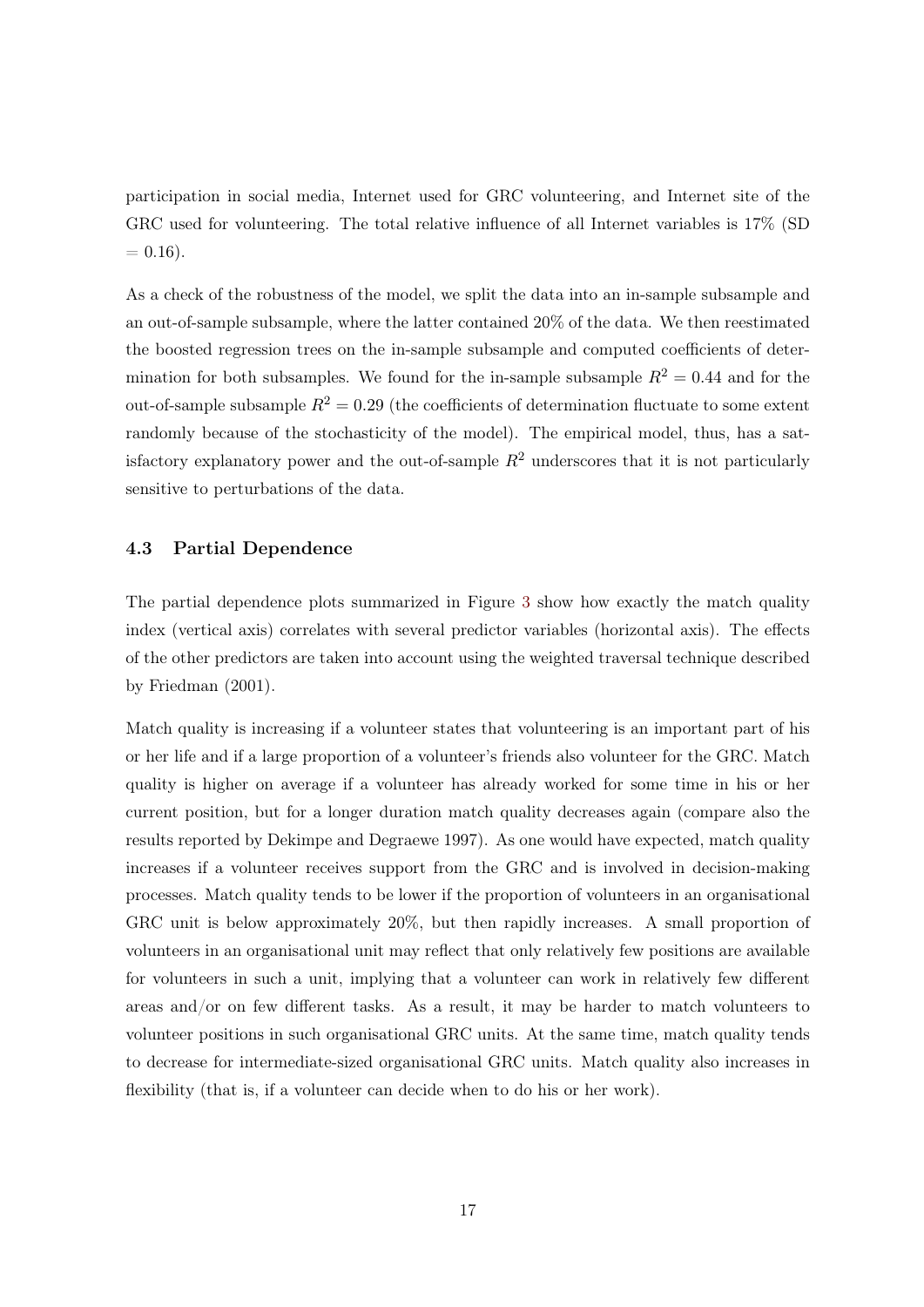participation in social media, Internet used for GRC volunteering, and Internet site of the GRC used for volunteering. The total relative influence of all Internet variables is 17% (SD  $= 0.16$ .

As a check of the robustness of the model, we split the data into an in-sample subsample and an out-of-sample subsample, where the latter contained 20% of the data. We then reestimated the boosted regression trees on the in-sample subsample and computed coefficients of determination for both subsamples. We found for the in-sample subsample  $R^2 = 0.44$  and for the out-of-sample subsample  $R^2 = 0.29$  (the coefficients of determination fluctuate to some extent randomly because of the stochasticity of the model). The empirical model, thus, has a satisfactory explanatory power and the out-of-sample  $R^2$  underscores that it is not particularly sensitive to perturbations of the data.

#### 4.3 Partial Dependence

The partial dependence plots summarized in Figure [3](#page-20-0) show how exactly the match quality index (vertical axis) correlates with several predictor variables (horizontal axis). The effects of the other predictors are taken into account using the weighted traversal technique described by Friedman (2001).

Match quality is increasing if a volunteer states that volunteering is an important part of his or her life and if a large proportion of a volunteer's friends also volunteer for the GRC. Match quality is higher on average if a volunteer has already worked for some time in his or her current position, but for a longer duration match quality decreases again (compare also the results reported by Dekimpe and Degraewe 1997). As one would have expected, match quality increases if a volunteer receives support from the GRC and is involved in decision-making processes. Match quality tends to be lower if the proportion of volunteers in an organisational GRC unit is below approximately 20%, but then rapidly increases. A small proportion of volunteers in an organisational unit may reflect that only relatively few positions are available for volunteers in such a unit, implying that a volunteer can work in relatively few different areas and/or on few different tasks. As a result, it may be harder to match volunteers to volunteer positions in such organisational GRC units. At the same time, match quality tends to decrease for intermediate-sized organisational GRC units. Match quality also increases in flexibility (that is, if a volunteer can decide when to do his or her work).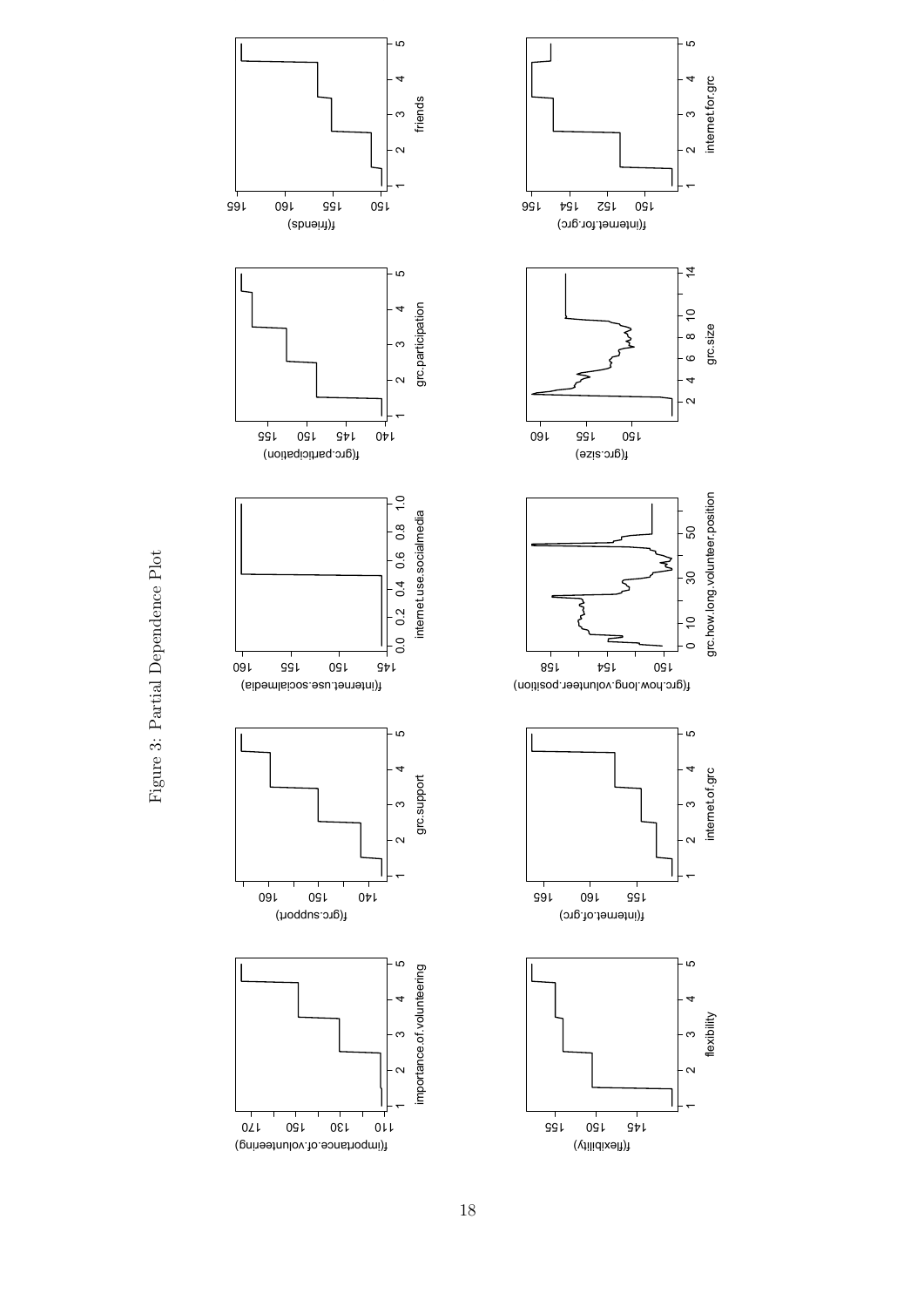<span id="page-20-0"></span>



Figure 3: Partial Dependence Plot Figure 3: Partial Dependence Plot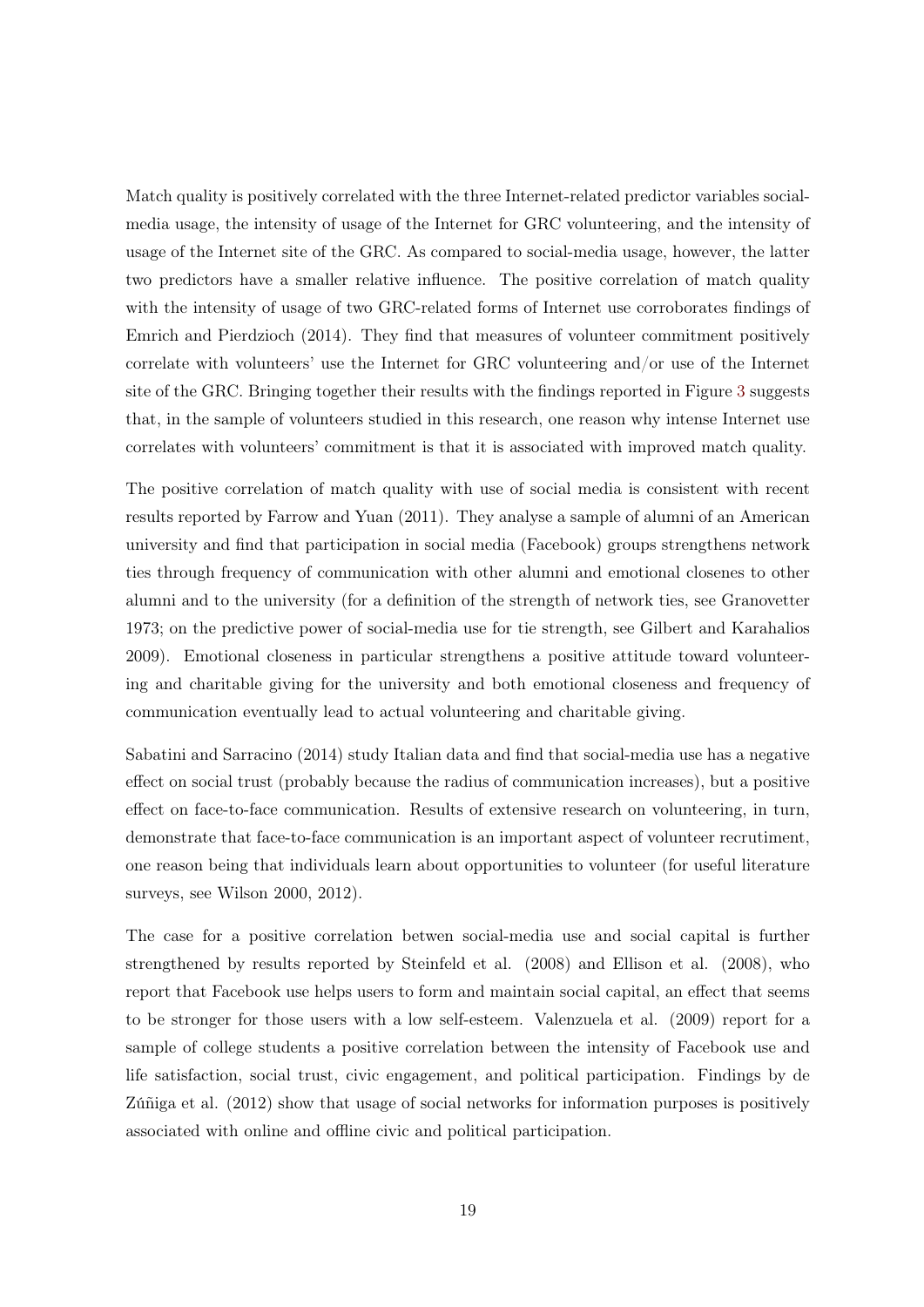Match quality is positively correlated with the three Internet-related predictor variables socialmedia usage, the intensity of usage of the Internet for GRC volunteering, and the intensity of usage of the Internet site of the GRC. As compared to social-media usage, however, the latter two predictors have a smaller relative influence. The positive correlation of match quality with the intensity of usage of two GRC-related forms of Internet use corroborates findings of Emrich and Pierdzioch (2014). They find that measures of volunteer commitment positively correlate with volunteers' use the Internet for GRC volunteering and/or use of the Internet site of the GRC. Bringing together their results with the findings reported in Figure [3](#page-20-0) suggests that, in the sample of volunteers studied in this research, one reason why intense Internet use correlates with volunteers' commitment is that it is associated with improved match quality.

The positive correlation of match quality with use of social media is consistent with recent results reported by Farrow and Yuan (2011). They analyse a sample of alumni of an American university and find that participation in social media (Facebook) groups strengthens network ties through frequency of communication with other alumni and emotional closenes to other alumni and to the university (for a definition of the strength of network ties, see Granovetter 1973; on the predictive power of social-media use for tie strength, see Gilbert and Karahalios 2009). Emotional closeness in particular strengthens a positive attitude toward volunteering and charitable giving for the university and both emotional closeness and frequency of communication eventually lead to actual volunteering and charitable giving.

Sabatini and Sarracino (2014) study Italian data and find that social-media use has a negative effect on social trust (probably because the radius of communication increases), but a positive effect on face-to-face communication. Results of extensive research on volunteering, in turn, demonstrate that face-to-face communication is an important aspect of volunteer recrutiment, one reason being that individuals learn about opportunities to volunteer (for useful literature surveys, see Wilson 2000, 2012).

The case for a positive correlation betwen social-media use and social capital is further strengthened by results reported by Steinfeld et al. (2008) and Ellison et al. (2008), who report that Facebook use helps users to form and maintain social capital, an effect that seems to be stronger for those users with a low self-esteem. Valenzuela et al. (2009) report for a sample of college students a positive correlation between the intensity of Facebook use and life satisfaction, social trust, civic engagement, and political participation. Findings by de Zúñiga et al. (2012) show that usage of social networks for information purposes is positively associated with online and offline civic and political participation.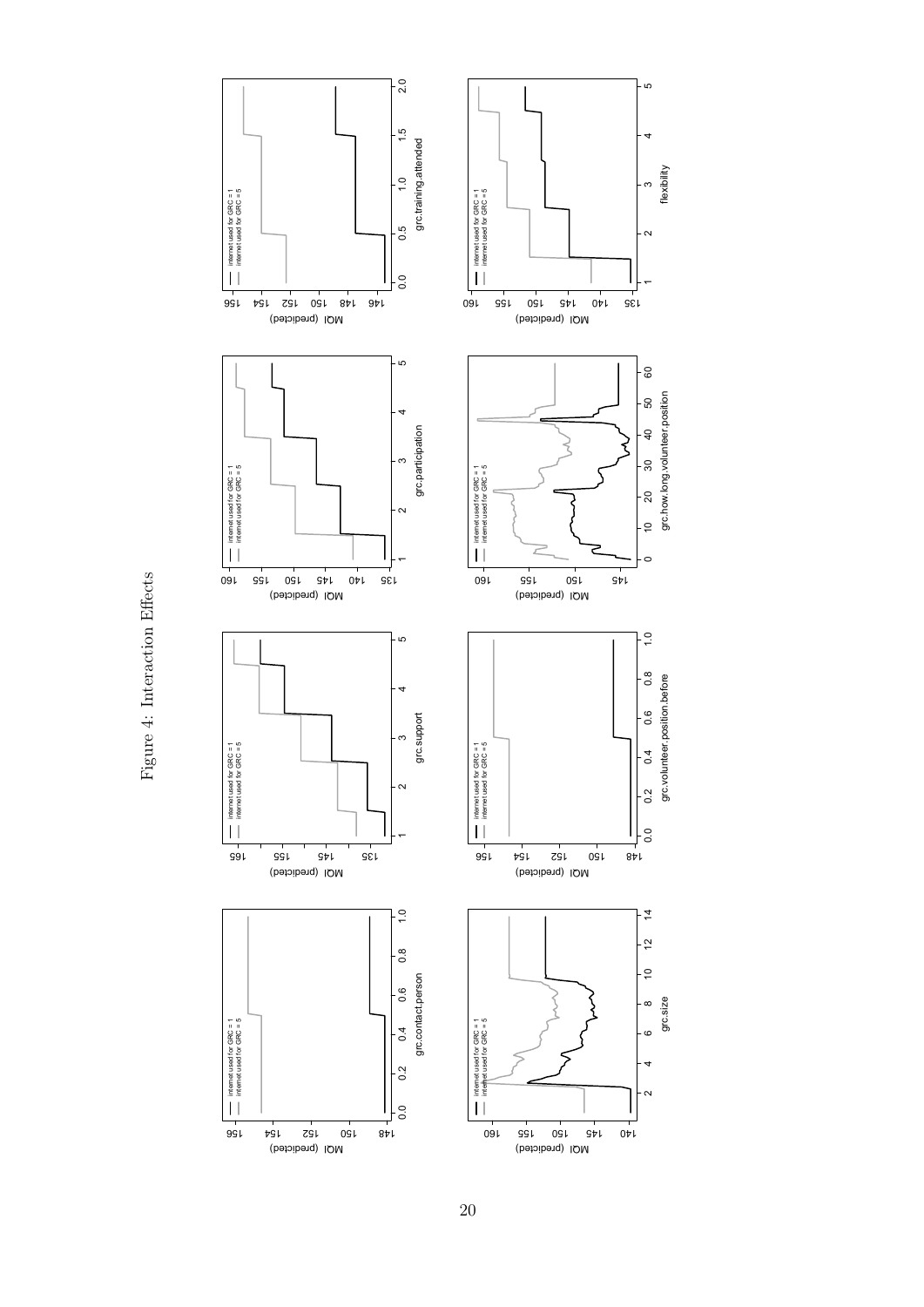Figure 4: Interaction Effects Figure 4: Interaction Effects

<span id="page-22-0"></span>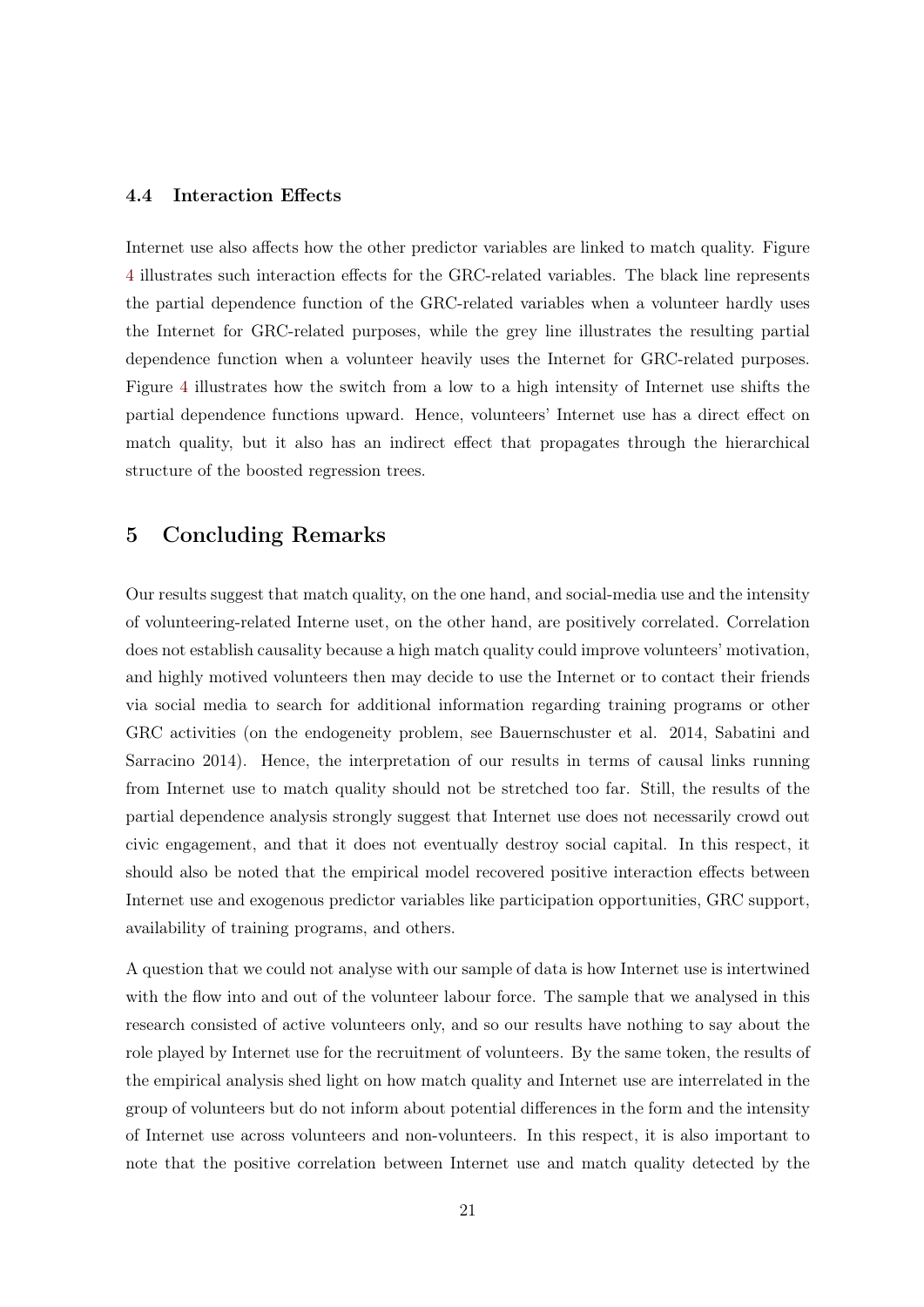#### 4.4 Interaction Effects

Internet use also affects how the other predictor variables are linked to match quality. Figure [4](#page-22-0) illustrates such interaction effects for the GRC-related variables. The black line represents the partial dependence function of the GRC-related variables when a volunteer hardly uses the Internet for GRC-related purposes, while the grey line illustrates the resulting partial dependence function when a volunteer heavily uses the Internet for GRC-related purposes. Figure [4](#page-22-0) illustrates how the switch from a low to a high intensity of Internet use shifts the partial dependence functions upward. Hence, volunteers' Internet use has a direct effect on match quality, but it also has an indirect effect that propagates through the hierarchical structure of the boosted regression trees.

# <span id="page-23-0"></span>5 Concluding Remarks

Our results suggest that match quality, on the one hand, and social-media use and the intensity of volunteering-related Interne uset, on the other hand, are positively correlated. Correlation does not establish causality because a high match quality could improve volunteers' motivation, and highly motived volunteers then may decide to use the Internet or to contact their friends via social media to search for additional information regarding training programs or other GRC activities (on the endogeneity problem, see Bauernschuster et al. 2014, Sabatini and Sarracino 2014). Hence, the interpretation of our results in terms of causal links running from Internet use to match quality should not be stretched too far. Still, the results of the partial dependence analysis strongly suggest that Internet use does not necessarily crowd out civic engagement, and that it does not eventually destroy social capital. In this respect, it should also be noted that the empirical model recovered positive interaction effects between Internet use and exogenous predictor variables like participation opportunities, GRC support, availability of training programs, and others.

A question that we could not analyse with our sample of data is how Internet use is intertwined with the flow into and out of the volunteer labour force. The sample that we analysed in this research consisted of active volunteers only, and so our results have nothing to say about the role played by Internet use for the recruitment of volunteers. By the same token, the results of the empirical analysis shed light on how match quality and Internet use are interrelated in the group of volunteers but do not inform about potential differences in the form and the intensity of Internet use across volunteers and non-volunteers. In this respect, it is also important to note that the positive correlation between Internet use and match quality detected by the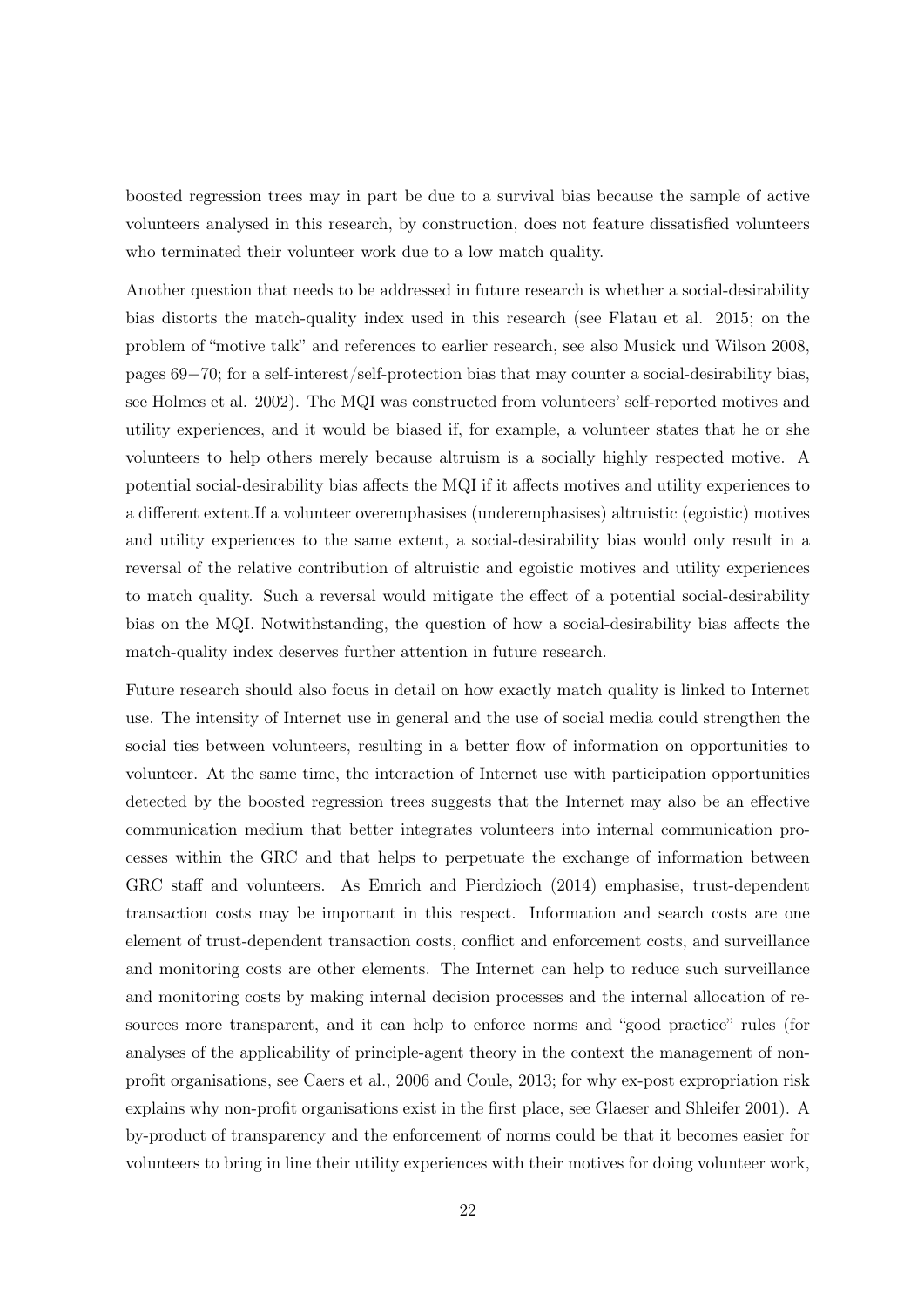boosted regression trees may in part be due to a survival bias because the sample of active volunteers analysed in this research, by construction, does not feature dissatisfied volunteers who terminated their volunteer work due to a low match quality.

Another question that needs to be addressed in future research is whether a social-desirability bias distorts the match-quality index used in this research (see Flatau et al. 2015; on the problem of "motive talk" and references to earlier research, see also Musick und Wilson 2008, pages 69−70; for a self-interest/self-protection bias that may counter a social-desirability bias, see Holmes et al. 2002). The MQI was constructed from volunteers' self-reported motives and utility experiences, and it would be biased if, for example, a volunteer states that he or she volunteers to help others merely because altruism is a socially highly respected motive. A potential social-desirability bias affects the MQI if it affects motives and utility experiences to a different extent.If a volunteer overemphasises (underemphasises) altruistic (egoistic) motives and utility experiences to the same extent, a social-desirability bias would only result in a reversal of the relative contribution of altruistic and egoistic motives and utility experiences to match quality. Such a reversal would mitigate the effect of a potential social-desirability bias on the MQI. Notwithstanding, the question of how a social-desirability bias affects the match-quality index deserves further attention in future research.

Future research should also focus in detail on how exactly match quality is linked to Internet use. The intensity of Internet use in general and the use of social media could strengthen the social ties between volunteers, resulting in a better flow of information on opportunities to volunteer. At the same time, the interaction of Internet use with participation opportunities detected by the boosted regression trees suggests that the Internet may also be an effective communication medium that better integrates volunteers into internal communication processes within the GRC and that helps to perpetuate the exchange of information between GRC staff and volunteers. As Emrich and Pierdzioch (2014) emphasise, trust-dependent transaction costs may be important in this respect. Information and search costs are one element of trust-dependent transaction costs, conflict and enforcement costs, and surveillance and monitoring costs are other elements. The Internet can help to reduce such surveillance and monitoring costs by making internal decision processes and the internal allocation of resources more transparent, and it can help to enforce norms and "good practice" rules (for analyses of the applicability of principle-agent theory in the context the management of nonprofit organisations, see Caers et al., 2006 and Coule, 2013; for why ex-post expropriation risk explains why non-profit organisations exist in the first place, see Glaeser and Shleifer 2001). A by-product of transparency and the enforcement of norms could be that it becomes easier for volunteers to bring in line their utility experiences with their motives for doing volunteer work,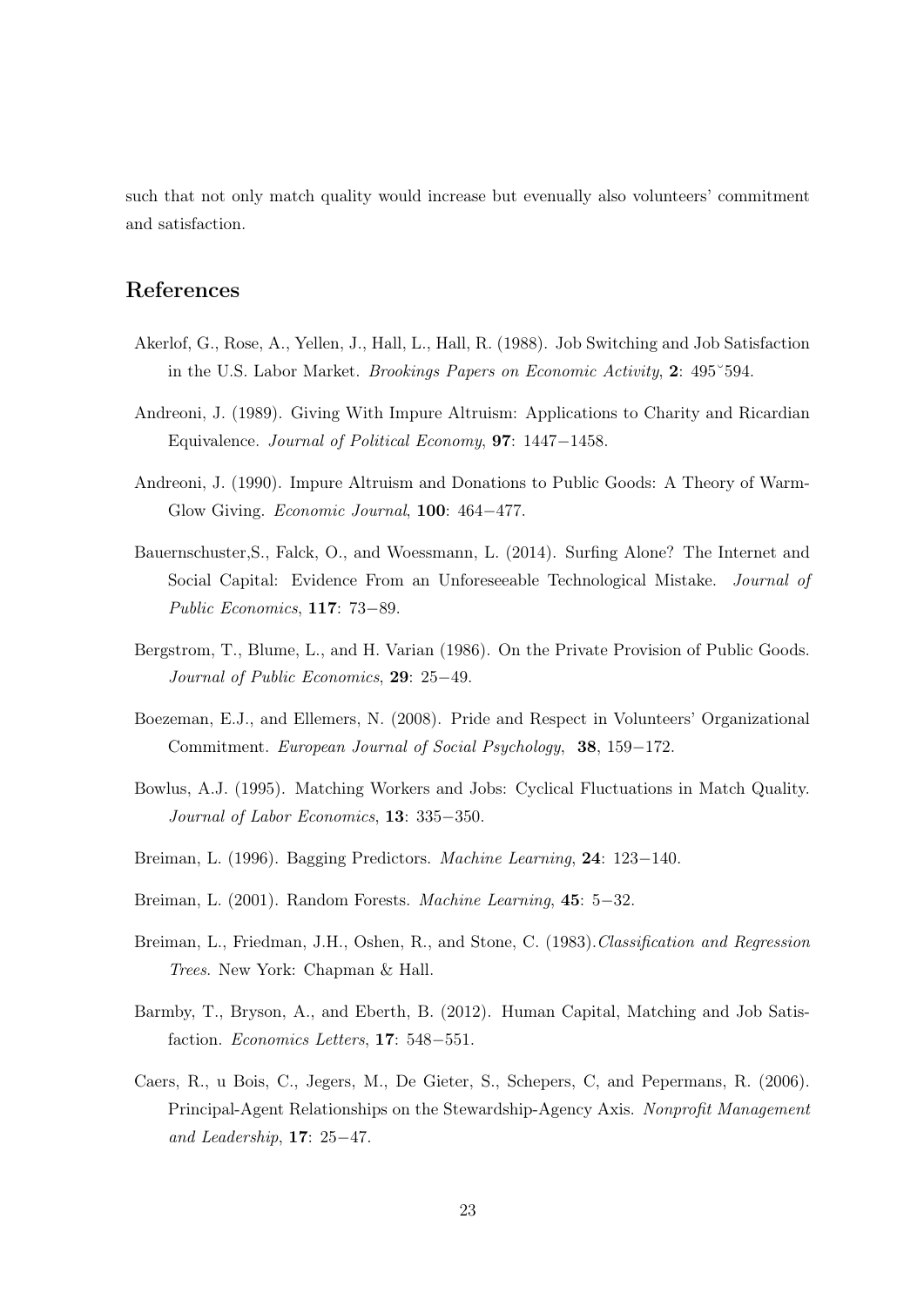such that not only match quality would increase but evenually also volunteers' commitment and satisfaction.

# References

- Akerlof, G., Rose, A., Yellen, J., Hall, L., Hall, R. (1988). Job Switching and Job Satisfaction in the U.S. Labor Market. Brookings Papers on Economic Activity, 2: 495˘594.
- Andreoni, J. (1989). Giving With Impure Altruism: Applications to Charity and Ricardian Equivalence. Journal of Political Economy, 97: 1447−1458.
- Andreoni, J. (1990). Impure Altruism and Donations to Public Goods: A Theory of Warm-Glow Giving. Economic Journal, 100: 464−477.
- Bauernschuster,S., Falck, O., and Woessmann, L. (2014). Surfing Alone? The Internet and Social Capital: Evidence From an Unforeseeable Technological Mistake. Journal of Public Economics, 117: 73−89.
- Bergstrom, T., Blume, L., and H. Varian (1986). On the Private Provision of Public Goods. Journal of Public Economics, 29: 25−49.
- Boezeman, E.J., and Ellemers, N. (2008). Pride and Respect in Volunteers' Organizational Commitment. European Journal of Social Psychology, 38, 159−172.
- Bowlus, A.J. (1995). Matching Workers and Jobs: Cyclical Fluctuations in Match Quality. Journal of Labor Economics, 13: 335−350.
- Breiman, L. (1996). Bagging Predictors. Machine Learning, 24: 123−140.
- Breiman, L. (2001). Random Forests. Machine Learning, 45: 5−32.
- Breiman, L., Friedman, J.H., Oshen, R., and Stone, C. (1983).Classification and Regression Trees. New York: Chapman & Hall.
- Barmby, T., Bryson, A., and Eberth, B. (2012). Human Capital, Matching and Job Satisfaction. Economics Letters, 17: 548−551.
- Caers, R., u Bois, C., Jegers, M., De Gieter, S., Schepers, C, and Pepermans, R. (2006). Principal-Agent Relationships on the Stewardship-Agency Axis. Nonprofit Management and Leadership, 17: 25−47.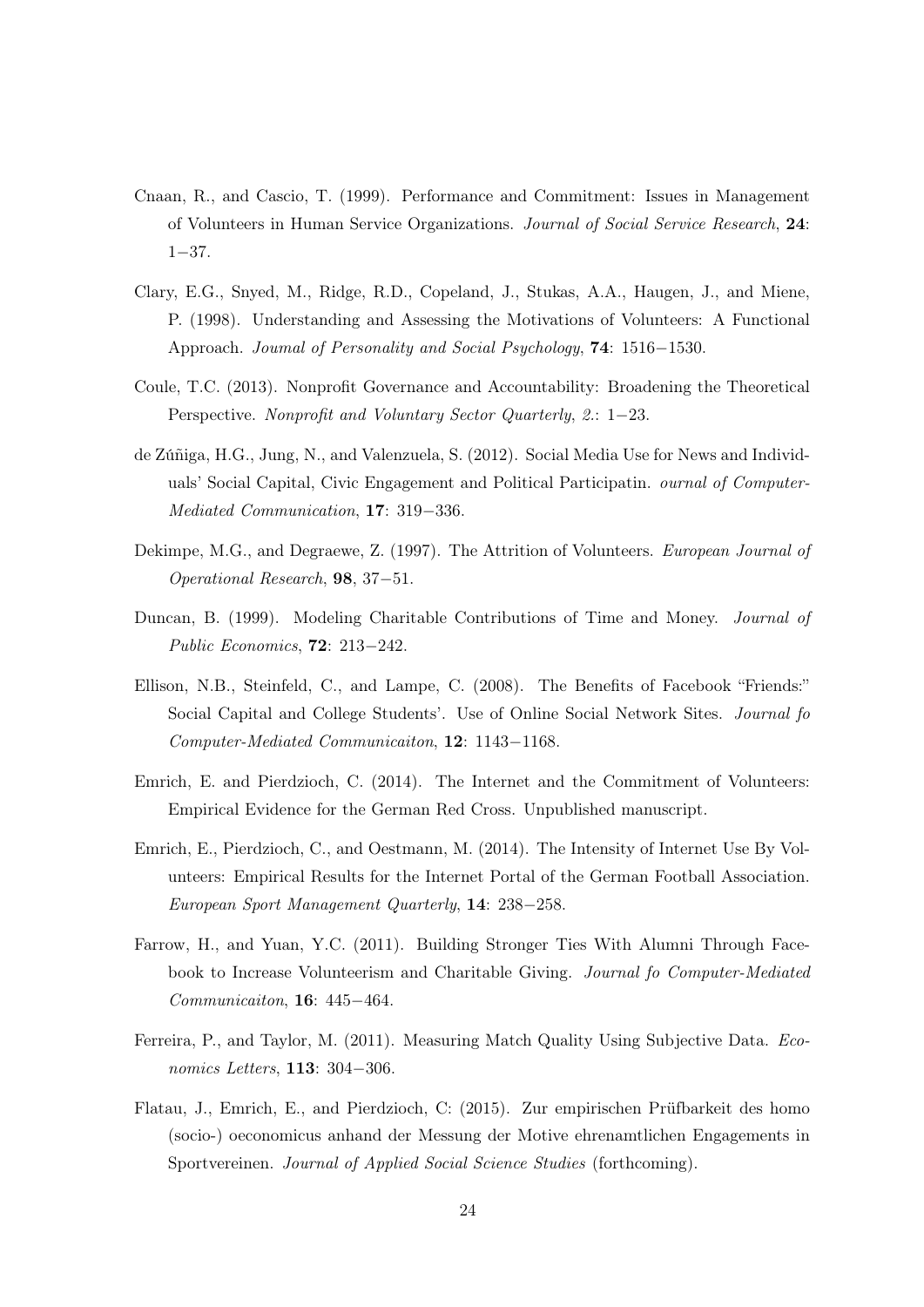- Cnaan, R., and Cascio, T. (1999). Performance and Commitment: Issues in Management of Volunteers in Human Service Organizations. Journal of Social Service Research, 24: 1−37.
- Clary, E.G., Snyed, M., Ridge, R.D., Copeland, J., Stukas, A.A., Haugen, J., and Miene, P. (1998). Understanding and Assessing the Motivations of Volunteers: A Functional Approach. Joumal of Personality and Social Psychology, 74: 1516−1530.
- Coule, T.C. (2013). Nonprofit Governance and Accountability: Broadening the Theoretical Perspective. Nonprofit and Voluntary Sector Quarterly, 2.: 1−23.
- de Zúñiga, H.G., Jung, N., and Valenzuela, S. (2012). Social Media Use for News and Individuals' Social Capital, Civic Engagement and Political Participatin. ournal of Computer-Mediated Communication, 17: 319−336.
- Dekimpe, M.G., and Degraewe, Z. (1997). The Attrition of Volunteers. European Journal of Operational Research, 98, 37−51.
- Duncan, B. (1999). Modeling Charitable Contributions of Time and Money. Journal of Public Economics, 72: 213−242.
- Ellison, N.B., Steinfeld, C., and Lampe, C. (2008). The Benefits of Facebook "Friends:" Social Capital and College Students'. Use of Online Social Network Sites. Journal fo Computer-Mediated Communicaiton, 12: 1143−1168.
- Emrich, E. and Pierdzioch, C. (2014). The Internet and the Commitment of Volunteers: Empirical Evidence for the German Red Cross. Unpublished manuscript.
- Emrich, E., Pierdzioch, C., and Oestmann, M. (2014). The Intensity of Internet Use By Volunteers: Empirical Results for the Internet Portal of the German Football Association. European Sport Management Quarterly, 14: 238−258.
- Farrow, H., and Yuan, Y.C. (2011). Building Stronger Ties With Alumni Through Facebook to Increase Volunteerism and Charitable Giving. Journal fo Computer-Mediated Communicaiton, 16: 445−464.
- Ferreira, P., and Taylor, M. (2011). Measuring Match Quality Using Subjective Data. Economics Letters, 113: 304−306.
- Flatau, J., Emrich, E., and Pierdzioch, C: (2015). Zur empirischen Prüfbarkeit des homo (socio-) oeconomicus anhand der Messung der Motive ehrenamtlichen Engagements in Sportvereinen. Journal of Applied Social Science Studies (forthcoming).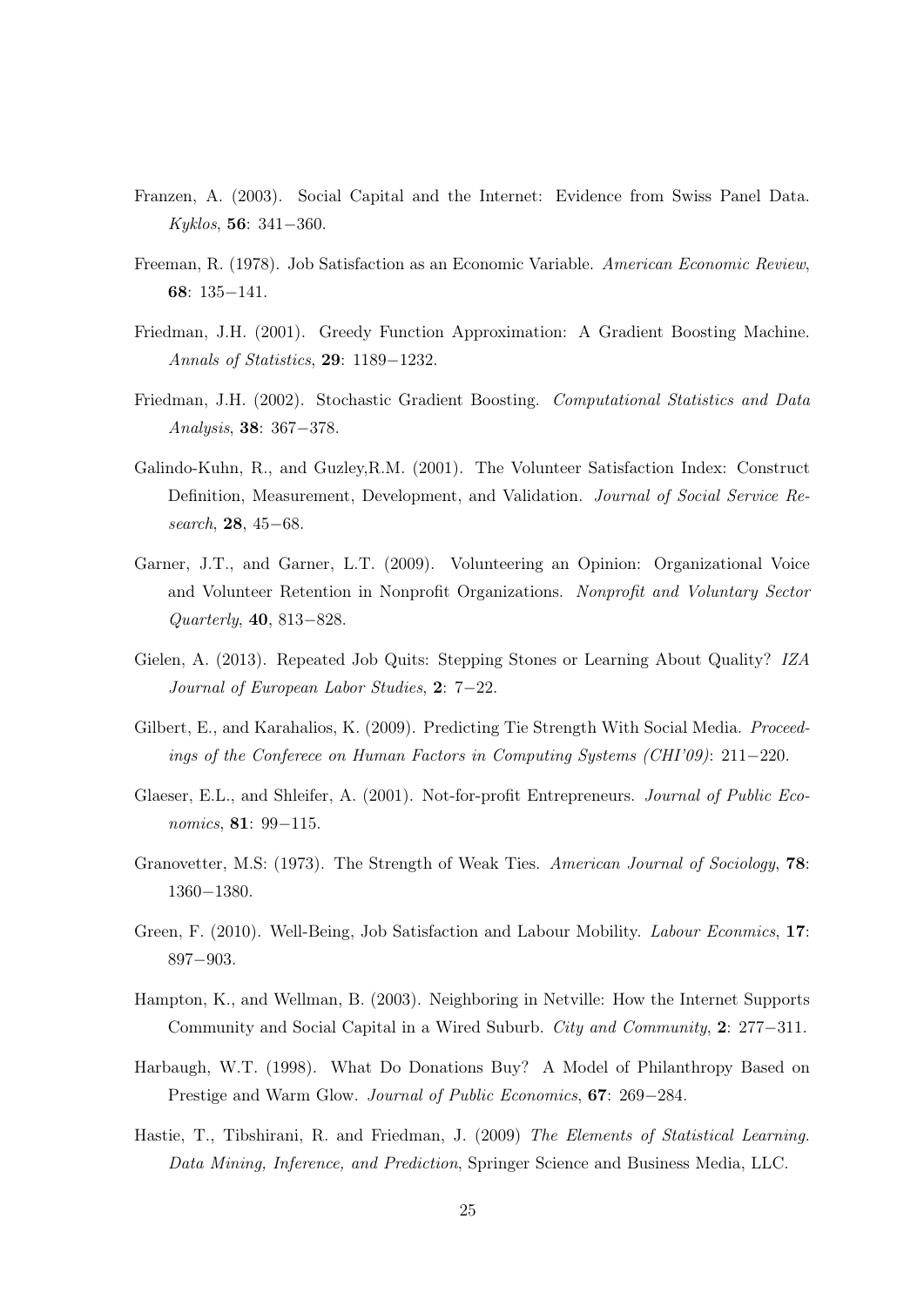- Franzen, A. (2003). Social Capital and the Internet: Evidence from Swiss Panel Data. Kyklos, 56: 341−360.
- Freeman, R. (1978). Job Satisfaction as an Economic Variable. American Economic Review, 68: 135−141.
- Friedman, J.H. (2001). Greedy Function Approximation: A Gradient Boosting Machine. Annals of Statistics, 29: 1189−1232.
- Friedman, J.H. (2002). Stochastic Gradient Boosting. Computational Statistics and Data Analysis, 38: 367−378.
- Galindo-Kuhn, R., and Guzley,R.M. (2001). The Volunteer Satisfaction Index: Construct Definition, Measurement, Development, and Validation. Journal of Social Service Research, 28, 45−68.
- Garner, J.T., and Garner, L.T. (2009). Volunteering an Opinion: Organizational Voice and Volunteer Retention in Nonprofit Organizations. Nonprofit and Voluntary Sector Quarterly, 40, 813−828.
- Gielen, A. (2013). Repeated Job Quits: Stepping Stones or Learning About Quality? IZA Journal of European Labor Studies, 2: 7−22.
- Gilbert, E., and Karahalios, K. (2009). Predicting Tie Strength With Social Media. *Proceed*ings of the Conferece on Human Factors in Computing Systems (CHI'09): 211−220.
- Glaeser, E.L., and Shleifer, A. (2001). Not-for-profit Entrepreneurs. Journal of Public Economics, 81: 99-115.
- Granovetter, M.S: (1973). The Strength of Weak Ties. American Journal of Sociology, 78: 1360−1380.
- Green, F. (2010). Well-Being, Job Satisfaction and Labour Mobility. Labour Econmics, 17: 897−903.
- Hampton, K., and Wellman, B. (2003). Neighboring in Netville: How the Internet Supports Community and Social Capital in a Wired Suburb. City and Community, 2: 277−311.
- Harbaugh, W.T. (1998). What Do Donations Buy? A Model of Philanthropy Based on Prestige and Warm Glow. Journal of Public Economics, 67: 269−284.
- Hastie, T., Tibshirani, R. and Friedman, J. (2009) The Elements of Statistical Learning. Data Mining, Inference, and Prediction, Springer Science and Business Media, LLC.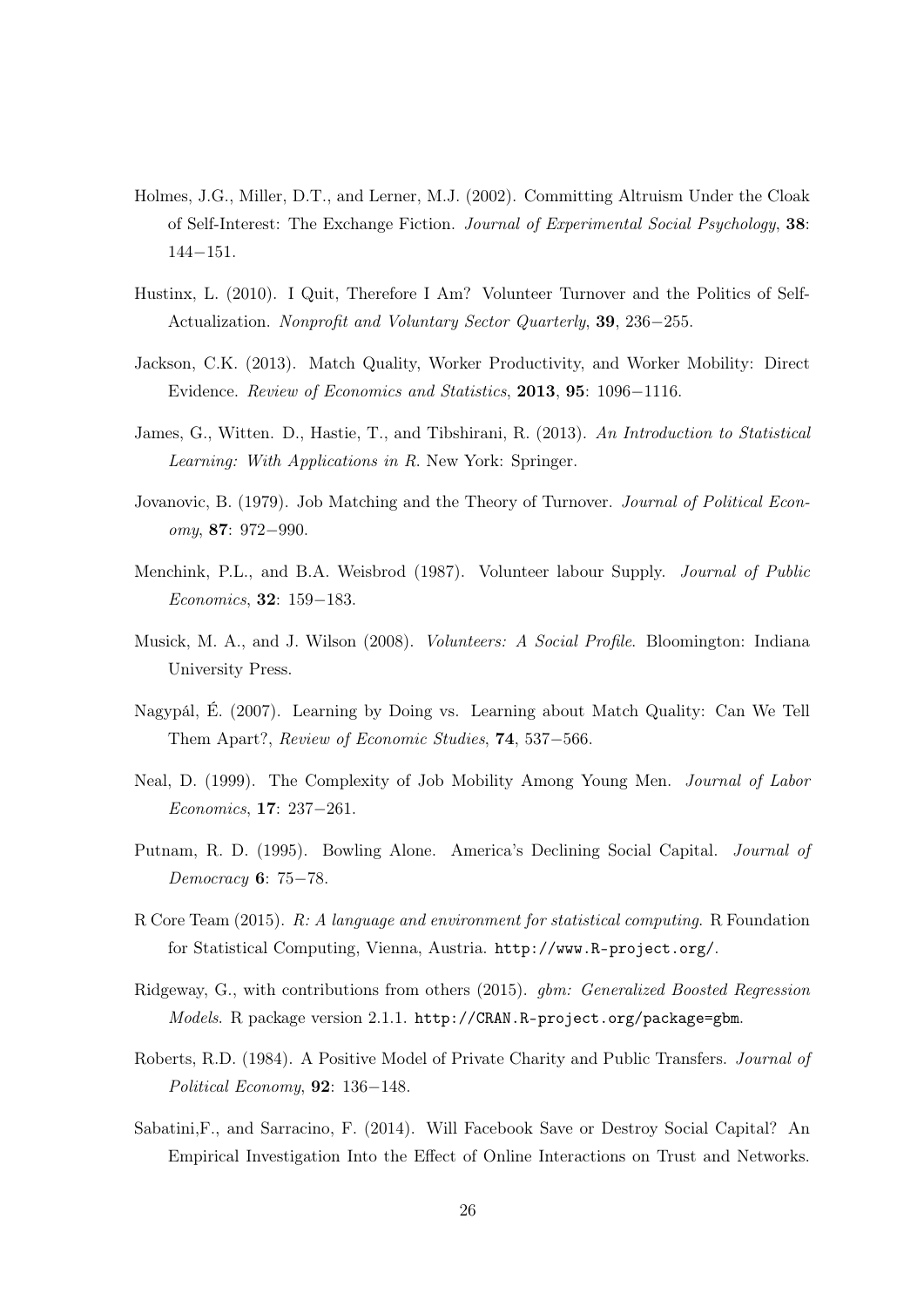- Holmes, J.G., Miller, D.T., and Lerner, M.J. (2002). Committing Altruism Under the Cloak of Self-Interest: The Exchange Fiction. Journal of Experimental Social Psychology, 38: 144−151.
- Hustinx, L. (2010). I Quit, Therefore I Am? Volunteer Turnover and the Politics of Self-Actualization. Nonprofit and Voluntary Sector Quarterly, 39, 236−255.
- Jackson, C.K. (2013). Match Quality, Worker Productivity, and Worker Mobility: Direct Evidence. Review of Economics and Statistics, 2013, 95: 1096−1116.
- James, G., Witten. D., Hastie, T., and Tibshirani, R. (2013). An Introduction to Statistical Learning: With Applications in R. New York: Springer.
- Jovanovic, B. (1979). Job Matching and the Theory of Turnover. Journal of Political Economy, 87: 972−990.
- Menchink, P.L., and B.A. Weisbrod (1987). Volunteer labour Supply. Journal of Public Economics, 32: 159−183.
- Musick, M. A., and J. Wilson (2008). Volunteers: A Social Profile. Bloomington: Indiana University Press.
- Nagypál, É. (2007). Learning by Doing vs. Learning about Match Quality: Can We Tell Them Apart?, Review of Economic Studies, 74, 537−566.
- Neal, D. (1999). The Complexity of Job Mobility Among Young Men. Journal of Labor Economics, 17: 237−261.
- Putnam, R. D. (1995). Bowling Alone. America's Declining Social Capital. Journal of Democracy 6: 75−78.
- R Core Team (2015). R: A language and environment for statistical computing. R Foundation for Statistical Computing, Vienna, Austria. <http://www.R-project.org/>.
- Ridgeway, G., with contributions from others (2015). gbm: Generalized Boosted Regression Models. R package version 2.1.1. <http://CRAN.R-project.org/package=gbm>.
- Roberts, R.D. (1984). A Positive Model of Private Charity and Public Transfers. Journal of Political Economy, 92: 136−148.
- Sabatini,F., and Sarracino, F. (2014). Will Facebook Save or Destroy Social Capital? An Empirical Investigation Into the Effect of Online Interactions on Trust and Networks.